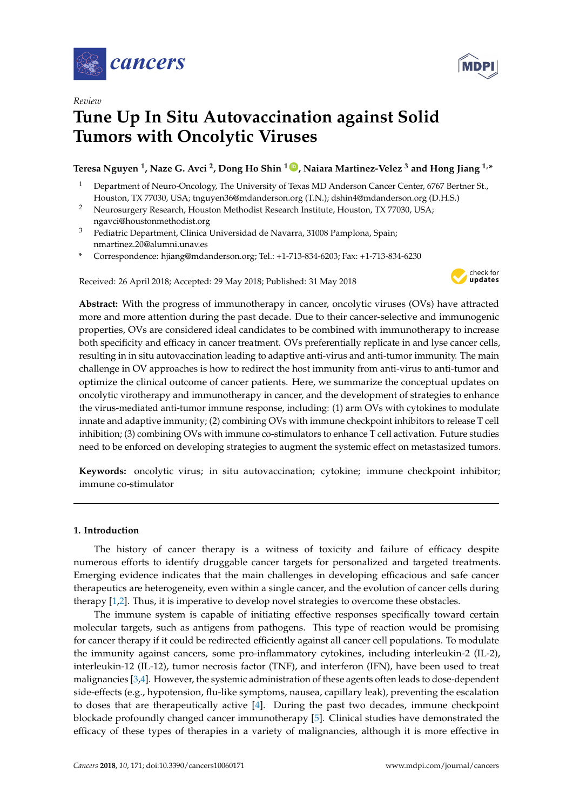



# **Tune Up In Situ Autovaccination against Solid Tumors with Oncolytic Viruses**

**Teresa Nguyen <sup>1</sup> , Naze G. Avci <sup>2</sup> , Dong Ho Shin <sup>1</sup> [ID](https://orcid.org/0000-0002-0135-0817) , Naiara Martinez-Velez <sup>3</sup> and Hong Jiang 1,\***

- <sup>1</sup> Department of Neuro-Oncology, The University of Texas MD Anderson Cancer Center, 6767 Bertner St., Houston, TX 77030, USA; tnguyen36@mdanderson.org (T.N.); dshin4@mdanderson.org (D.H.S.)
- <sup>2</sup> Neurosurgery Research, Houston Methodist Research Institute, Houston, TX 77030, USA; ngavci@houstonmethodist.org
- <sup>3</sup> Pediatric Department, Clínica Universidad de Navarra, 31008 Pamplona, Spain; nmartinez.20@alumni.unav.es
- **\*** Correspondence: hjiang@mdanderson.org; Tel.: +1-713-834-6203; Fax: +1-713-834-6230

Received: 26 April 2018; Accepted: 29 May 2018; Published: 31 May 2018



**Abstract:** With the progress of immunotherapy in cancer, oncolytic viruses (OVs) have attracted more and more attention during the past decade. Due to their cancer-selective and immunogenic properties, OVs are considered ideal candidates to be combined with immunotherapy to increase both specificity and efficacy in cancer treatment. OVs preferentially replicate in and lyse cancer cells, resulting in in situ autovaccination leading to adaptive anti-virus and anti-tumor immunity. The main challenge in OV approaches is how to redirect the host immunity from anti-virus to anti-tumor and optimize the clinical outcome of cancer patients. Here, we summarize the conceptual updates on oncolytic virotherapy and immunotherapy in cancer, and the development of strategies to enhance the virus-mediated anti-tumor immune response, including: (1) arm OVs with cytokines to modulate innate and adaptive immunity; (2) combining OVs with immune checkpoint inhibitors to release T cell inhibition; (3) combining OVs with immune co-stimulators to enhance T cell activation. Future studies need to be enforced on developing strategies to augment the systemic effect on metastasized tumors.

**Keywords:** oncolytic virus; in situ autovaccination; cytokine; immune checkpoint inhibitor; immune co-stimulator

# **1. Introduction**

The history of cancer therapy is a witness of toxicity and failure of efficacy despite numerous efforts to identify druggable cancer targets for personalized and targeted treatments. Emerging evidence indicates that the main challenges in developing efficacious and safe cancer therapeutics are heterogeneity, even within a single cancer, and the evolution of cancer cells during therapy [\[1,](#page-10-0)[2\]](#page-10-1). Thus, it is imperative to develop novel strategies to overcome these obstacles.

The immune system is capable of initiating effective responses specifically toward certain molecular targets, such as antigens from pathogens. This type of reaction would be promising for cancer therapy if it could be redirected efficiently against all cancer cell populations. To modulate the immunity against cancers, some pro-inflammatory cytokines, including interleukin-2 (IL-2), interleukin-12 (IL-12), tumor necrosis factor (TNF), and interferon (IFN), have been used to treat malignancies [\[3,](#page-10-2)[4\]](#page-10-3). However, the systemic administration of these agents often leads to dose-dependent side-effects (e.g., hypotension, flu-like symptoms, nausea, capillary leak), preventing the escalation to doses that are therapeutically active [\[4\]](#page-10-3). During the past two decades, immune checkpoint blockade profoundly changed cancer immunotherapy [\[5\]](#page-10-4). Clinical studies have demonstrated the efficacy of these types of therapies in a variety of malignancies, although it is more effective in

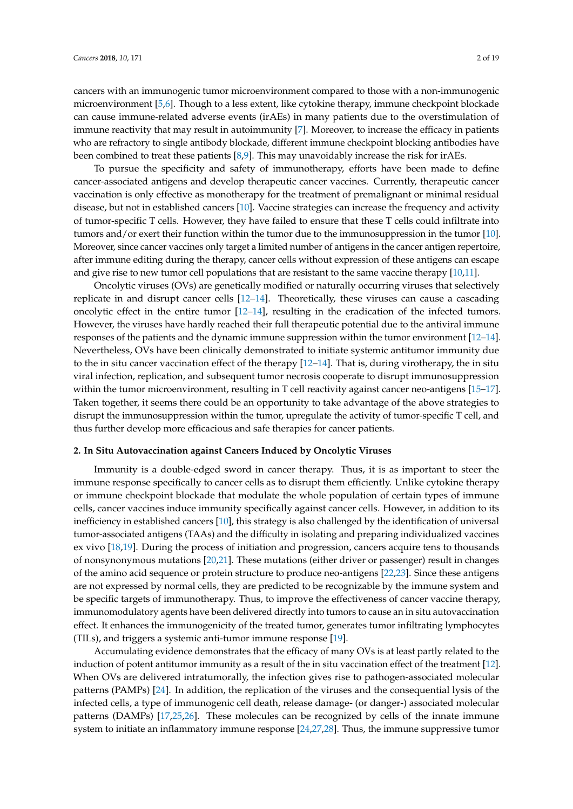cancers with an immunogenic tumor microenvironment compared to those with a non-immunogenic microenvironment [\[5](#page-10-4)[,6\]](#page-10-5). Though to a less extent, like cytokine therapy, immune checkpoint blockade can cause immune-related adverse events (irAEs) in many patients due to the overstimulation of immune reactivity that may result in autoimmunity [\[7\]](#page-11-0). Moreover, to increase the efficacy in patients who are refractory to single antibody blockade, different immune checkpoint blocking antibodies have been combined to treat these patients [\[8,](#page-11-1)[9\]](#page-11-2). This may unavoidably increase the risk for irAEs.

To pursue the specificity and safety of immunotherapy, efforts have been made to define cancer-associated antigens and develop therapeutic cancer vaccines. Currently, therapeutic cancer vaccination is only effective as monotherapy for the treatment of premalignant or minimal residual disease, but not in established cancers [\[10\]](#page-11-3). Vaccine strategies can increase the frequency and activity of tumor-specific T cells. However, they have failed to ensure that these T cells could infiltrate into tumors and/or exert their function within the tumor due to the immunosuppression in the tumor [\[10\]](#page-11-3). Moreover, since cancer vaccines only target a limited number of antigens in the cancer antigen repertoire, after immune editing during the therapy, cancer cells without expression of these antigens can escape and give rise to new tumor cell populations that are resistant to the same vaccine therapy [\[10](#page-11-3)[,11\]](#page-11-4).

Oncolytic viruses (OVs) are genetically modified or naturally occurring viruses that selectively replicate in and disrupt cancer cells [\[12](#page-11-5)[–14\]](#page-11-6). Theoretically, these viruses can cause a cascading oncolytic effect in the entire tumor [\[12–](#page-11-5)[14\]](#page-11-6), resulting in the eradication of the infected tumors. However, the viruses have hardly reached their full therapeutic potential due to the antiviral immune responses of the patients and the dynamic immune suppression within the tumor environment [\[12–](#page-11-5)[14\]](#page-11-6). Nevertheless, OVs have been clinically demonstrated to initiate systemic antitumor immunity due to the in situ cancer vaccination effect of the therapy  $[12-14]$  $[12-14]$ . That is, during virotherapy, the in situ viral infection, replication, and subsequent tumor necrosis cooperate to disrupt immunosuppression within the tumor microenvironment, resulting in T cell reactivity against cancer neo-antigens [\[15–](#page-11-7)[17\]](#page-11-8). Taken together, it seems there could be an opportunity to take advantage of the above strategies to disrupt the immunosuppression within the tumor, upregulate the activity of tumor-specific T cell, and thus further develop more efficacious and safe therapies for cancer patients.

# **2. In Situ Autovaccination against Cancers Induced by Oncolytic Viruses**

Immunity is a double-edged sword in cancer therapy. Thus, it is as important to steer the immune response specifically to cancer cells as to disrupt them efficiently. Unlike cytokine therapy or immune checkpoint blockade that modulate the whole population of certain types of immune cells, cancer vaccines induce immunity specifically against cancer cells. However, in addition to its inefficiency in established cancers [\[10\]](#page-11-3), this strategy is also challenged by the identification of universal tumor-associated antigens (TAAs) and the difficulty in isolating and preparing individualized vaccines ex vivo [\[18,](#page-11-9)[19\]](#page-11-10). During the process of initiation and progression, cancers acquire tens to thousands of nonsynonymous mutations [\[20,](#page-11-11)[21\]](#page-11-12). These mutations (either driver or passenger) result in changes of the amino acid sequence or protein structure to produce neo-antigens [\[22,](#page-11-13)[23\]](#page-11-14). Since these antigens are not expressed by normal cells, they are predicted to be recognizable by the immune system and be specific targets of immunotherapy. Thus, to improve the effectiveness of cancer vaccine therapy, immunomodulatory agents have been delivered directly into tumors to cause an in situ autovaccination effect. It enhances the immunogenicity of the treated tumor, generates tumor infiltrating lymphocytes (TILs), and triggers a systemic anti-tumor immune response [\[19\]](#page-11-10).

Accumulating evidence demonstrates that the efficacy of many OVs is at least partly related to the induction of potent antitumor immunity as a result of the in situ vaccination effect of the treatment [\[12\]](#page-11-5). When OVs are delivered intratumorally, the infection gives rise to pathogen-associated molecular patterns (PAMPs) [\[24\]](#page-11-15). In addition, the replication of the viruses and the consequential lysis of the infected cells, a type of immunogenic cell death, release damage- (or danger-) associated molecular patterns (DAMPs) [\[17,](#page-11-8)[25,](#page-11-16)[26\]](#page-11-17). These molecules can be recognized by cells of the innate immune system to initiate an inflammatory immune response [\[24](#page-11-15)[,27](#page-11-18)[,28\]](#page-11-19). Thus, the immune suppressive tumor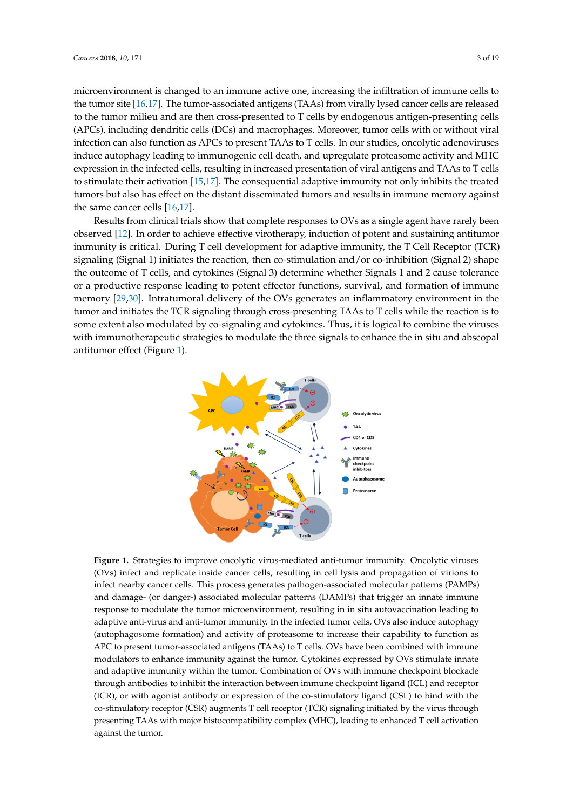microenvironment is changed to an immune active one, increasing the infiltration of immune cells to the tumor site [\[16,](#page-11-20)[17\]](#page-11-8). The tumor-associated antigens (TAAs) from virally lysed cancer cells are released<br>in the intervals to the tumor milieu and are then cross-presented to  $T$  cells by endogenous antigen-presenting cells (APCs), including dendritic cells (DCs) and macrophages. Moreover, tumor cells with or without viral infection can also function as APCs to present TAAs to T cells. In our studies, oncolytic adenoviruses induce autophagy leading to immunogenic cell death, and upregulate proteasome activity and MHC expression in the infected cells, resulting in increased presentation of viral antigens and TAAs to T cells to stimulate their activation  $[15,17]$  $[15,17]$ . The consequential adaptive immunity not only inhibits the treated tumors but also has effect on the distant disseminated tumors and results in immune memory against the same cancer cells  $[16,17]$  $[16,17]$ .

Results from clinical trials show that complete responses to OVs as a single agent have rarely been  $\alpha$  observed [\[12\]](#page-11-5). In order to achieve effective virotherapy, induction of potent and sustaining antitumor immunity is critical. During T cell development for adaptive immunity, the T Cell Receptor (TCR)  $\,$ signaling (Signal 1) initiates the reaction, then co-stimulation and/or co-inhibition (Signal 2) shape the outcome of T cells, and cytokines (Signal 3) determine whether Signals 1 and 2 cause tolerance or a productive response leading to potent effector functions, survival, and formation of immune memory [\[29,](#page-11-21)[30\]](#page-12-0). Intratumoral delivery of the OVs generates an inflammatory environment in the tumor and initiates the TCR signaling through cross-presenting TAAs to T cells while the reaction is to some extent also modulated by co-signaling and cytokines. Thus, it is logical to combine the viruses with immunotherapeutic strategies to modulate the three signals to enhance the in situ and abscopal antitumor effect (Figure [1\)](#page-2-0). distant distant distant distant distant distant distant distant distant distant distant distant distant distant the virus experience strategies to modulate the three signals to enhance the in situ and absorbed

<span id="page-2-0"></span>

**Figure 1.** Strategies to improve oncolytic virus-mediated anti-tumor immunity. Oncolytic viruses **Figure 1.** Strategies to improve oncolytic virus-mediated anti-tumor immunity. Oncolytic viruses (OVs) infect and replicate inside cancer cells, resulting in cell lysis and propagation of virions to infect (OVs) infect and replicate inside cancer cells, resulting in cell lysis and propagation of virions to  $\frac{1}{\sqrt{2}}$  cancer cells. The process generation of  $\frac{1}{\sqrt{2}}$  and  $\frac{1}{\sqrt{2}}$  and  $\frac{1}{\sqrt{2}}$  and  $\frac{1}{\sqrt{2}}$  and  $\frac{1}{\sqrt{2}}$  and  $\frac{1}{\sqrt{2}}$  and  $\frac{1}{\sqrt{2}}$  and  $\frac{1}{\sqrt{2}}$  and  $\frac{1}{\sqrt{2}}$  and  $\frac{1}{\sqrt{2}}$  an infect nearby cancer cells. This process generates pathogen-associated molecular patterns (PAMPs) and damage- (or danger-) associated molecular patterns (DAMPs) that trigger an innate immune response to modulate the tumor microenvironment, resulting in in situ autovaccination leading to adaptive anti-virus and anti-tumor immunity. In the infected tumor cells, OVs also induce autophagy (autophagosome formation) and activity of proteasome to increase their capability to function as APC to present tumor-associated antigens (TAAs) to T cells. OVs have been combined with immune modulators to enhance immunity against the tumor. Cytokines expressed by OVs stimulate innate and adaptive immunity within the tumor. Combination of OVs with immune checkpoint blockade through antibodies to inhibit the interaction between immune checkpoint ligand (ICL) and receptor (ICR), or with agonist antibody or expression of the co-stimulatory ligand (CSL) to bind with the  $\overline{\text{p}}$  co-stimulatory receptor (CSR) augments T cell receptor (TCR) signaling initiated by the virus through presenting TAAs with major histocompatibility complex (MHC), leading to enhanced T cell activation against the tumor.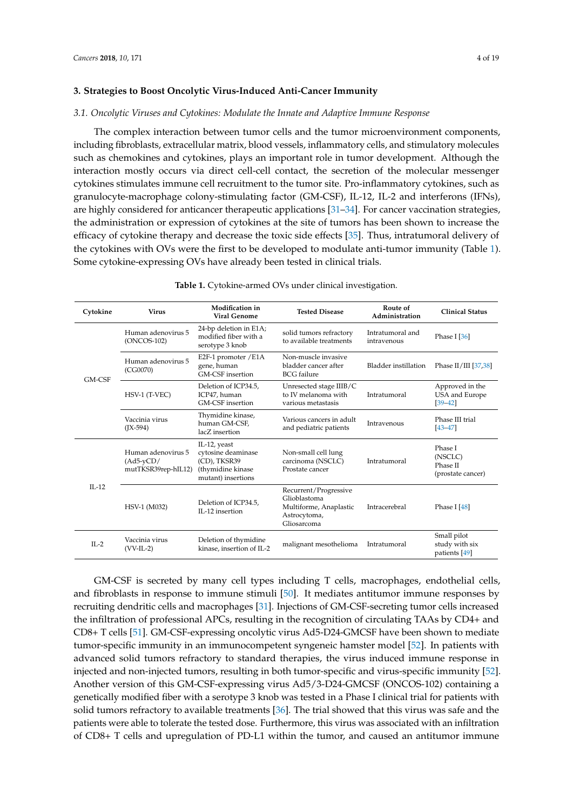# **3. Strategies to Boost Oncolytic Virus-Induced Anti-Cancer Immunity**

#### *3.1. Oncolytic Viruses and Cytokines: Modulate the Innate and Adaptive Immune Response*

The complex interaction between tumor cells and the tumor microenvironment components, including fibroblasts, extracellular matrix, blood vessels, inflammatory cells, and stimulatory molecules such as chemokines and cytokines, plays an important role in tumor development. Although the interaction mostly occurs via direct cell-cell contact, the secretion of the molecular messenger cytokines stimulates immune cell recruitment to the tumor site. Pro-inflammatory cytokines, such as granulocyte-macrophage colony-stimulating factor (GM-CSF), IL-12, IL-2 and interferons (IFNs), are highly considered for anticancer therapeutic applications [\[31–](#page-12-1)[34\]](#page-12-2). For cancer vaccination strategies, the administration or expression of cytokines at the site of tumors has been shown to increase the efficacy of cytokine therapy and decrease the toxic side effects [\[35\]](#page-12-3). Thus, intratumoral delivery of the cytokines with OVs were the first to be developed to modulate anti-tumor immunity (Table [1\)](#page-3-0). Some cytokine-expressing OVs have already been tested in clinical trials.

<span id="page-3-0"></span>**Cytokine Virus Modification in Tested Disease Route of Administration Clinical Status** GM-CSF Human adenovirus 5 (ONCOS-102) 24-bp deletion in E1A; modified fiber with a serotype 3 knob solid tumors refractory to available treatments Intratumoral and Phase I [\[36\]](#page-12-4) Human adenovirus 5 (CG0070) E2F-1 promoter /E1A gene, human GM-CSF insertion Non-muscle invasive bladder cancer after BCG failure Bladder instillation Phase II/III [\[37,](#page-12-5)[38\]](#page-12-6) HSV-1 (T-VEC) Deletion of ICP34.5, ICP47, human GM-CSF insertion Unresected stage IIIB/C to IV melanoma with various metastasis Intratumoral Approved in the USA and Europe [\[39–](#page-12-7)[42\]](#page-12-8) Vaccinia virus (JX-594) Thymidine kinase, human GM-CSF, lacZ insertion Various cancers in adult Intravenous Phase III trial<br>and pediatric patients Intravenous [43–47] [\[43–](#page-12-9)[47\]](#page-12-10)  $II - 12$ Human adenovirus 5 (Ad5-yCD/ mutTKSR39rep-hIL12) IL-12, yeast cytosine deaminase (CD), TKSR39 (thymidine kinase mutant) insertions Non-small cell lung carcinoma (NSCLC) Prostate cancer Intratumoral Phase I (NSCLC) Phase II (prostate cancer) HSV-1 (M032) Deletion of ICP34.5, IL-12 insertion Recurrent/Progressive Glioblastoma Multiforme, Anaplastic Astrocytoma, Gliosarcoma Intracerebral Phase I [\[48\]](#page-13-0) IL-2 Vaccinia virus (VV-IL-2) Deletion of thymidine malignant mesothelioma Intratumoral Small pilot study with six patients [\[49\]](#page-13-1)

**Table 1.** Cytokine-armed OVs under clinical investigation.

GM-CSF is secreted by many cell types including T cells, macrophages, endothelial cells, and fibroblasts in response to immune stimuli [\[50\]](#page-13-2). It mediates antitumor immune responses by recruiting dendritic cells and macrophages [\[31\]](#page-12-1). Injections of GM-CSF-secreting tumor cells increased the infiltration of professional APCs, resulting in the recognition of circulating TAAs by CD4+ and CD8+ T cells [\[51\]](#page-13-3). GM-CSF-expressing oncolytic virus Ad5-D24-GMCSF have been shown to mediate tumor-specific immunity in an immunocompetent syngeneic hamster model [\[52\]](#page-13-4). In patients with advanced solid tumors refractory to standard therapies, the virus induced immune response in injected and non-injected tumors, resulting in both tumor-specific and virus-specific immunity [\[52\]](#page-13-4). Another version of this GM-CSF-expressing virus Ad5/3-D24-GMCSF (ONCOS-102) containing a genetically modified fiber with a serotype 3 knob was tested in a Phase I clinical trial for patients with solid tumors refractory to available treatments [\[36\]](#page-12-4). The trial showed that this virus was safe and the patients were able to tolerate the tested dose. Furthermore, this virus was associated with an infiltration of CD8+ T cells and upregulation of PD-L1 within the tumor, and caused an antitumor immune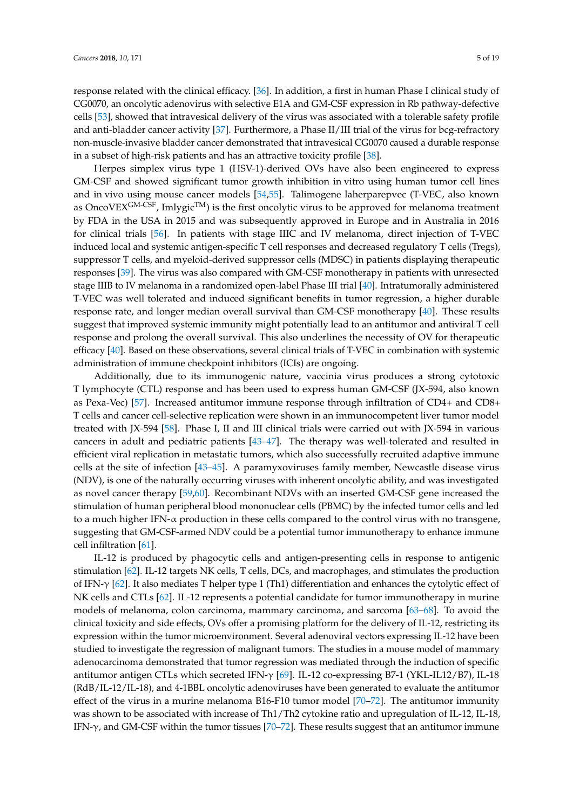response related with the clinical efficacy. [\[36\]](#page-12-4). In addition, a first in human Phase I clinical study of CG0070, an oncolytic adenovirus with selective E1A and GM-CSF expression in Rb pathway-defective cells [\[53\]](#page-13-5), showed that intravesical delivery of the virus was associated with a tolerable safety profile and anti-bladder cancer activity [\[37\]](#page-12-5). Furthermore, a Phase II/III trial of the virus for bcg-refractory non-muscle-invasive bladder cancer demonstrated that intravesical CG0070 caused a durable response in a subset of high-risk patients and has an attractive toxicity profile [\[38\]](#page-12-6).

Herpes simplex virus type 1 (HSV-1)-derived OVs have also been engineered to express GM-CSF and showed significant tumor growth inhibition in vitro using human tumor cell lines and in vivo using mouse cancer models [\[54,](#page-13-6)[55\]](#page-13-7). Talimogene laherparepvec (T-VEC, also known as OncoVEX<sup>GM-CSF</sup>, Imlygic<sup>TM</sup>) is the first oncolytic virus to be approved for melanoma treatment by FDA in the USA in 2015 and was subsequently approved in Europe and in Australia in 2016 for clinical trials [\[56\]](#page-13-8). In patients with stage IIIC and IV melanoma, direct injection of T-VEC induced local and systemic antigen-specific T cell responses and decreased regulatory T cells (Tregs), suppressor T cells, and myeloid-derived suppressor cells (MDSC) in patients displaying therapeutic responses [\[39\]](#page-12-7). The virus was also compared with GM-CSF monotherapy in patients with unresected stage IIIB to IV melanoma in a randomized open-label Phase III trial [\[40\]](#page-12-11). Intratumorally administered T-VEC was well tolerated and induced significant benefits in tumor regression, a higher durable response rate, and longer median overall survival than GM-CSF monotherapy [\[40\]](#page-12-11). These results suggest that improved systemic immunity might potentially lead to an antitumor and antiviral T cell response and prolong the overall survival. This also underlines the necessity of OV for therapeutic efficacy [\[40\]](#page-12-11). Based on these observations, several clinical trials of T-VEC in combination with systemic administration of immune checkpoint inhibitors (ICIs) are ongoing.

Additionally, due to its immunogenic nature, vaccinia virus produces a strong cytotoxic T lymphocyte (CTL) response and has been used to express human GM-CSF (JX-594, also known as Pexa-Vec) [\[57\]](#page-13-9). Increased antitumor immune response through infiltration of CD4+ and CD8+ T cells and cancer cell-selective replication were shown in an immunocompetent liver tumor model treated with JX-594 [\[58\]](#page-13-10). Phase I, II and III clinical trials were carried out with JX-594 in various cancers in adult and pediatric patients [\[43](#page-12-9)[–47\]](#page-12-10). The therapy was well-tolerated and resulted in efficient viral replication in metastatic tumors, which also successfully recruited adaptive immune cells at the site of infection [\[43–](#page-12-9)[45\]](#page-12-12). A paramyxoviruses family member, Newcastle disease virus (NDV), is one of the naturally occurring viruses with inherent oncolytic ability, and was investigated as novel cancer therapy [\[59](#page-13-11)[,60\]](#page-13-12). Recombinant NDVs with an inserted GM-CSF gene increased the stimulation of human peripheral blood mononuclear cells (PBMC) by the infected tumor cells and led to a much higher IFN- $\alpha$  production in these cells compared to the control virus with no transgene, suggesting that GM-CSF-armed NDV could be a potential tumor immunotherapy to enhance immune cell infiltration [\[61\]](#page-13-13).

IL-12 is produced by phagocytic cells and antigen-presenting cells in response to antigenic stimulation [\[62\]](#page-13-14). IL-12 targets NK cells, T cells, DCs, and macrophages, and stimulates the production of IFN-γ [\[62\]](#page-13-14). It also mediates T helper type 1 (Th1) differentiation and enhances the cytolytic effect of NK cells and CTLs [\[62\]](#page-13-14). IL-12 represents a potential candidate for tumor immunotherapy in murine models of melanoma, colon carcinoma, mammary carcinoma, and sarcoma [\[63](#page-13-15)[–68\]](#page-14-0). To avoid the clinical toxicity and side effects, OVs offer a promising platform for the delivery of IL-12, restricting its expression within the tumor microenvironment. Several adenoviral vectors expressing IL-12 have been studied to investigate the regression of malignant tumors. The studies in a mouse model of mammary adenocarcinoma demonstrated that tumor regression was mediated through the induction of specific antitumor antigen CTLs which secreted IFN-γ [\[69\]](#page-14-1). IL-12 co-expressing B7-1 (YKL-IL12/B7), IL-18 (RdB/IL-12/IL-18), and 4-1BBL oncolytic adenoviruses have been generated to evaluate the antitumor effect of the virus in a murine melanoma B16-F10 tumor model [\[70](#page-14-2)[–72\]](#page-14-3). The antitumor immunity was shown to be associated with increase of Th1/Th2 cytokine ratio and upregulation of IL-12, IL-18, IFN-γ, and GM-CSF within the tumor tissues [\[70–](#page-14-2)[72\]](#page-14-3). These results suggest that an antitumor immune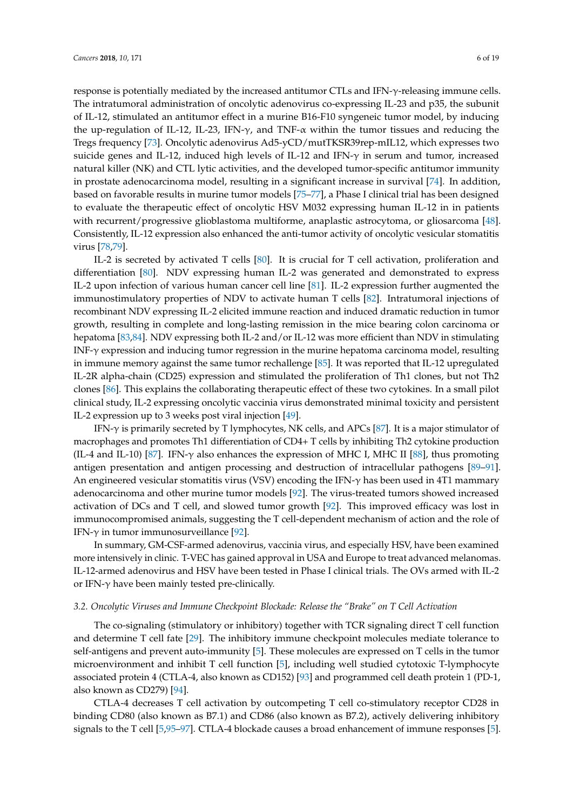response is potentially mediated by the increased antitumor CTLs and IFN-γ-releasing immune cells. The intratumoral administration of oncolytic adenovirus co-expressing IL-23 and p35, the subunit of IL-12, stimulated an antitumor effect in a murine B16-F10 syngeneic tumor model, by inducing the up-regulation of IL-12, IL-23, IFN- $\gamma$ , and TNF- $\alpha$  within the tumor tissues and reducing the Tregs frequency [\[73\]](#page-14-4). Oncolytic adenovirus Ad5-yCD/mutTKSR39rep-mIL12, which expresses two suicide genes and IL-12, induced high levels of IL-12 and IFN-γ in serum and tumor, increased natural killer (NK) and CTL lytic activities, and the developed tumor-specific antitumor immunity in prostate adenocarcinoma model, resulting in a significant increase in survival [\[74\]](#page-14-5). In addition, based on favorable results in murine tumor models [\[75](#page-14-6)[–77\]](#page-14-7), a Phase I clinical trial has been designed to evaluate the therapeutic effect of oncolytic HSV M032 expressing human IL-12 in in patients with recurrent/progressive glioblastoma multiforme, anaplastic astrocytoma, or gliosarcoma [\[48\]](#page-13-0). Consistently, IL-12 expression also enhanced the anti-tumor activity of oncolytic vesicular stomatitis virus [\[78,](#page-14-8)[79\]](#page-14-9).

IL-2 is secreted by activated T cells [\[80\]](#page-14-10). It is crucial for T cell activation, proliferation and differentiation [\[80\]](#page-14-10). NDV expressing human IL-2 was generated and demonstrated to express IL-2 upon infection of various human cancer cell line [\[81\]](#page-14-11). IL-2 expression further augmented the immunostimulatory properties of NDV to activate human T cells [\[82\]](#page-14-12). Intratumoral injections of recombinant NDV expressing IL-2 elicited immune reaction and induced dramatic reduction in tumor growth, resulting in complete and long-lasting remission in the mice bearing colon carcinoma or hepatoma [\[83,](#page-15-0)[84\]](#page-15-1). NDV expressing both IL-2 and/or IL-12 was more efficient than NDV in stimulating INF-γ expression and inducing tumor regression in the murine hepatoma carcinoma model, resulting in immune memory against the same tumor rechallenge [\[85\]](#page-15-2). It was reported that IL-12 upregulated IL-2R alpha-chain (CD25) expression and stimulated the proliferation of Th1 clones, but not Th2 clones [\[86\]](#page-15-3). This explains the collaborating therapeutic effect of these two cytokines. In a small pilot clinical study, IL-2 expressing oncolytic vaccinia virus demonstrated minimal toxicity and persistent IL-2 expression up to 3 weeks post viral injection [\[49\]](#page-13-1).

IFN- $\gamma$  is primarily secreted by T lymphocytes, NK cells, and APCs [\[87\]](#page-15-4). It is a major stimulator of macrophages and promotes Th1 differentiation of CD4+ T cells by inhibiting Th2 cytokine production (IL-4 and IL-10) [\[87\]](#page-15-4). IFN- $\gamma$  also enhances the expression of MHC I, MHC II [\[88\]](#page-15-5), thus promoting antigen presentation and antigen processing and destruction of intracellular pathogens [\[89–](#page-15-6)[91\]](#page-15-7). An engineered vesicular stomatitis virus (VSV) encoding the IFN-γ has been used in 4T1 mammary adenocarcinoma and other murine tumor models [\[92\]](#page-15-8). The virus-treated tumors showed increased activation of DCs and T cell, and slowed tumor growth [\[92\]](#page-15-8). This improved efficacy was lost in immunocompromised animals, suggesting the T cell-dependent mechanism of action and the role of IFN- $\gamma$  in tumor immunosurveillance [\[92\]](#page-15-8).

In summary, GM-CSF-armed adenovirus, vaccinia virus, and especially HSV, have been examined more intensively in clinic. T-VEC has gained approval in USA and Europe to treat advanced melanomas. IL-12-armed adenovirus and HSV have been tested in Phase I clinical trials. The OVs armed with IL-2 or IFN-γ have been mainly tested pre-clinically.

#### *3.2. Oncolytic Viruses and Immune Checkpoint Blockade: Release the "Brake" on T Cell Activation*

The co-signaling (stimulatory or inhibitory) together with TCR signaling direct T cell function and determine T cell fate [\[29\]](#page-11-21). The inhibitory immune checkpoint molecules mediate tolerance to self-antigens and prevent auto-immunity [\[5\]](#page-10-4). These molecules are expressed on T cells in the tumor microenvironment and inhibit T cell function [\[5\]](#page-10-4), including well studied cytotoxic T-lymphocyte associated protein 4 (CTLA-4, also known as CD152) [\[93\]](#page-15-9) and programmed cell death protein 1 (PD-1, also known as CD279) [\[94\]](#page-15-10).

CTLA-4 decreases T cell activation by outcompeting T cell co-stimulatory receptor CD28 in binding CD80 (also known as B7.1) and CD86 (also known as B7.2), actively delivering inhibitory signals to the T cell [\[5,](#page-10-4)[95–](#page-15-11)[97\]](#page-15-12). CTLA-4 blockade causes a broad enhancement of immune responses [\[5\]](#page-10-4).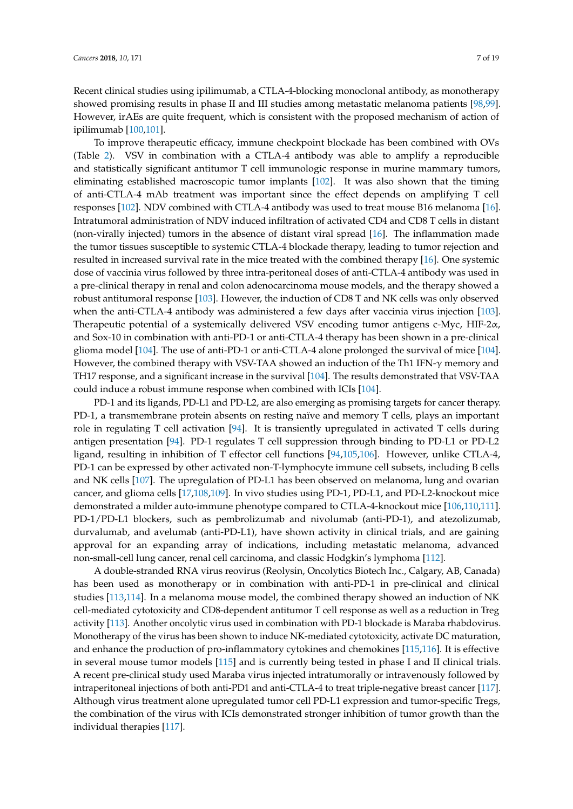Recent clinical studies using ipilimumab, a CTLA-4-blocking monoclonal antibody, as monotherapy showed promising results in phase II and III studies among metastatic melanoma patients [\[98,](#page-15-13)[99\]](#page-15-14). However, irAEs are quite frequent, which is consistent with the proposed mechanism of action of ipilimumab [\[100](#page-15-15)[,101\]](#page-15-16).

To improve therapeutic efficacy, immune checkpoint blockade has been combined with OVs (Table [2\)](#page-7-0). VSV in combination with a CTLA-4 antibody was able to amplify a reproducible and statistically significant antitumor T cell immunologic response in murine mammary tumors, eliminating established macroscopic tumor implants [\[102\]](#page-15-17). It was also shown that the timing of anti-CTLA-4 mAb treatment was important since the effect depends on amplifying T cell responses [\[102\]](#page-15-17). NDV combined with CTLA-4 antibody was used to treat mouse B16 melanoma [\[16\]](#page-11-20). Intratumoral administration of NDV induced infiltration of activated CD4 and CD8 T cells in distant (non-virally injected) tumors in the absence of distant viral spread [\[16\]](#page-11-20). The inflammation made the tumor tissues susceptible to systemic CTLA-4 blockade therapy, leading to tumor rejection and resulted in increased survival rate in the mice treated with the combined therapy [\[16\]](#page-11-20). One systemic dose of vaccinia virus followed by three intra-peritoneal doses of anti-CTLA-4 antibody was used in a pre-clinical therapy in renal and colon adenocarcinoma mouse models, and the therapy showed a robust antitumoral response [\[103\]](#page-16-0). However, the induction of CD8 T and NK cells was only observed when the anti-CTLA-4 antibody was administered a few days after vaccinia virus injection [\[103\]](#page-16-0). Therapeutic potential of a systemically delivered VSV encoding tumor antigens c-Myc, HIF-2 $\alpha$ , and Sox-10 in combination with anti-PD-1 or anti-CTLA-4 therapy has been shown in a pre-clinical glioma model [\[104\]](#page-16-1). The use of anti-PD-1 or anti-CTLA-4 alone prolonged the survival of mice [\[104\]](#page-16-1). However, the combined therapy with VSV-TAA showed an induction of the Th1 IFN-γ memory and TH17 response, and a significant increase in the survival [\[104\]](#page-16-1). The results demonstrated that VSV-TAA could induce a robust immune response when combined with ICIs [\[104\]](#page-16-1).

PD-1 and its ligands, PD-L1 and PD-L2, are also emerging as promising targets for cancer therapy. PD-1, a transmembrane protein absents on resting naïve and memory T cells, plays an important role in regulating T cell activation [\[94\]](#page-15-10). It is transiently upregulated in activated T cells during antigen presentation [\[94\]](#page-15-10). PD-1 regulates T cell suppression through binding to PD-L1 or PD-L2 ligand, resulting in inhibition of T effector cell functions [\[94](#page-15-10)[,105](#page-16-2)[,106\]](#page-16-3). However, unlike CTLA-4, PD-1 can be expressed by other activated non-T-lymphocyte immune cell subsets, including B cells and NK cells [\[107\]](#page-16-4). The upregulation of PD-L1 has been observed on melanoma, lung and ovarian cancer, and glioma cells [\[17](#page-11-8)[,108](#page-16-5)[,109\]](#page-16-6). In vivo studies using PD-1, PD-L1, and PD-L2-knockout mice demonstrated a milder auto-immune phenotype compared to CTLA-4-knockout mice [\[106,](#page-16-3)[110,](#page-16-7)[111\]](#page-16-8). PD-1/PD-L1 blockers, such as pembrolizumab and nivolumab (anti-PD-1), and atezolizumab, durvalumab, and avelumab (anti-PD-L1), have shown activity in clinical trials, and are gaining approval for an expanding array of indications, including metastatic melanoma, advanced non-small-cell lung cancer, renal cell carcinoma, and classic Hodgkin's lymphoma [\[112\]](#page-16-9).

A double-stranded RNA virus reovirus (Reolysin, Oncolytics Biotech Inc., Calgary, AB, Canada) has been used as monotherapy or in combination with anti-PD-1 in pre-clinical and clinical studies [\[113,](#page-16-10)[114\]](#page-16-11). In a melanoma mouse model, the combined therapy showed an induction of NK cell-mediated cytotoxicity and CD8-dependent antitumor T cell response as well as a reduction in Treg activity [\[113\]](#page-16-10). Another oncolytic virus used in combination with PD-1 blockade is Maraba rhabdovirus. Monotherapy of the virus has been shown to induce NK-mediated cytotoxicity, activate DC maturation, and enhance the production of pro-inflammatory cytokines and chemokines [\[115,](#page-16-12)[116\]](#page-16-13). It is effective in several mouse tumor models [\[115\]](#page-16-12) and is currently being tested in phase I and II clinical trials. A recent pre-clinical study used Maraba virus injected intratumorally or intravenously followed by intraperitoneal injections of both anti-PD1 and anti-CTLA-4 to treat triple-negative breast cancer [\[117\]](#page-16-14). Although virus treatment alone upregulated tumor cell PD-L1 expression and tumor-specific Tregs, the combination of the virus with ICIs demonstrated stronger inhibition of tumor growth than the individual therapies [\[117\]](#page-16-14).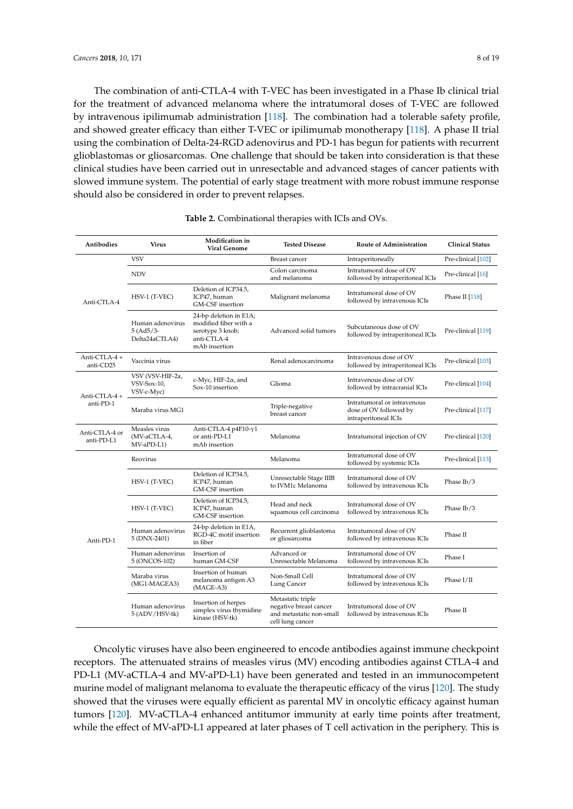The combination of anti-CTLA-4 with T-VEC has been investigated in a Phase Ib clinical trial for the treatment of advanced melanoma where the intratumoral doses of T-VEC are followed by intravenous ipilimumab administration [\[118\]](#page-16-15). The combination had a tolerable safety profile, and showed greater efficacy than either T-VEC or ipilimumab monotherapy [\[118\]](#page-16-15). A phase II trial using the combination of Delta-24-RGD adenovirus and PD-1 has begun for patients with recurrent glioblastomas or gliosarcomas. One challenge that should be taken into consideration is that these clinical studies have been carried out in unresectable and advanced stages of cancer patients with slowed immune system. The potential of early stage treatment with more robust immune response should also be considered in order to prevent relapses.

<span id="page-7-0"></span>

| Antibodies                   | <b>Virus</b>                                       | Modification in<br><b>Viral Genome</b>                                                              | <b>Tested Disease</b>                                                                       | <b>Route of Administration</b>                                                | <b>Clinical Status</b> |
|------------------------------|----------------------------------------------------|-----------------------------------------------------------------------------------------------------|---------------------------------------------------------------------------------------------|-------------------------------------------------------------------------------|------------------------|
| Anti-CTLA-4                  | <b>VSV</b>                                         |                                                                                                     | Breast cancer                                                                               | Intraperitoneally                                                             | Pre-clinical [102]     |
|                              | <b>NDV</b>                                         |                                                                                                     | Colon carcinoma<br>and melanoma                                                             | Intratumoral dose of OV<br>followed by intraperitoneal ICIs                   | Pre-clinical [16]      |
|                              | HSV-1 (T-VEC)                                      | Deletion of ICP34.5,<br>ICP47, human<br>GM-CSF insertion                                            | Malignant melanoma                                                                          | Intratumoral dose of OV<br>followed by intravenous ICIs                       | Phase II $[118]$       |
|                              | Human adenovirus<br>$5 (Ad5/3 -$<br>Delta24aCTLA4) | 24-bp deletion in E1A;<br>modified fiber with a<br>serotype 3 knob;<br>anti-CTLA-4<br>mAb insertion | Advanced solid tumors                                                                       | Subcutaneous dose of OV<br>followed by intraperitoneal ICIs                   | Pre-clinical [119]     |
| Anti-CTLA-4+<br>anti-CD25    | Vaccinia virus                                     |                                                                                                     | Renal adenocarcinoma                                                                        | Intravenous dose of OV<br>followed by intraperitoneal ICIs                    | Pre-clinical [103]     |
| Anti-CTLA-4+<br>anti-PD-1    | VSV (VSV-HIF-2a,<br>VSV-Sox-10,<br>VSV-c-Myc)      | c-Myc, HIF-2 $\alpha$ , and<br>Sox-10 insertion                                                     | Glioma                                                                                      | Intravenous dose of OV<br>followed by intracranial ICIs                       | Pre-clinical [104]     |
|                              | Maraba virus MG1                                   |                                                                                                     | Triple-negative<br>breast cancer                                                            | Intratumoral or intravenous<br>dose of OV followed by<br>intraperitoneal ICIs | Pre-clinical [117]     |
| Anti-CTLA-4 or<br>anti-PD-L1 | Measles virus<br>(MV-aCTLA-4,<br>MV-aPD-L1)        | Anti-CTLA-4 p4F10-γ1<br>or anti-PD-L1<br>mAb insertion                                              | Melanoma                                                                                    | Intratumoral injection of OV                                                  | Pre-clinical [120]     |
| Anti-PD-1                    | Reovirus                                           |                                                                                                     | Melanoma                                                                                    | Intratumoral dose of OV<br>followed by systemic ICIs                          | Pre-clinical [113]     |
|                              | HSV-1 (T-VEC)                                      | Deletion of ICP34.5,<br>ICP47, human<br>GM-CSF insertion                                            | Unresectable Stage IIIB<br>to IVM1c Melanoma                                                | Intratumoral dose of OV<br>followed by intravenous ICIs                       | Phase $I\frac{b}{3}$   |
|                              | HSV-1 (T-VEC)                                      | Deletion of ICP34.5,<br>ICP47, human<br>GM-CSF insertion                                            | Head and neck<br>squamous cell carcinoma                                                    | Intratumoral dose of OV<br>followed by intravenous ICIs                       | Phase Ib/3             |
|                              | Human adenovirus<br>5 (DNX-2401)                   | 24-bp deletion in E1A,<br>RGD-4C motif insertion<br>in fiber                                        | Recurrent glioblastoma<br>or gliosarcoma                                                    | Intratumoral dose of OV<br>followed by intravenous ICIs                       | Phase II               |
|                              | Human adenovirus<br>5 (ONCOS-102)                  | Insertion of<br>human GM-CSF                                                                        | Advanced or<br>Unresectable Melanoma                                                        | Intratumoral dose of OV<br>followed by intravenous ICIs                       | Phase I                |
|                              | Maraba virus<br>(MG1-MAGEA3)                       | Insertion of human<br>melanoma antigen A3<br>(MAGE-A3)                                              | Non-Small Cell<br>Lung Cancer                                                               | Intratumoral dose of OV<br>followed by intravenous ICIs                       | Phase I/II             |
|                              | Human adenovirus<br>5 (ADV/HSV-tk)                 | Insertion of herpes<br>simplex virus thymidine<br>kinase (HSV-tk)                                   | Metastatic triple<br>negative breast cancer<br>and metastatic non-small<br>cell lung cancer | Intratumoral dose of OV<br>followed by intravenous ICIs                       | Phase II               |

#### **Table 2.** Combinational therapies with ICIs and OVs.

Oncolytic viruses have also been engineered to encode antibodies against immune checkpoint receptors. The attenuated strains of measles virus (MV) encoding antibodies against CTLA-4 and PD-L1 (MV-aCTLA-4 and MV-aPD-L1) have been generated and tested in an immunocompetent murine model of malignant melanoma to evaluate the therapeutic efficacy of the virus [\[120\]](#page-16-17). The study showed that the viruses were equally efficient as parental MV in oncolytic efficacy against human tumors [\[120\]](#page-16-17). MV-aCTLA-4 enhanced antitumor immunity at early time points after treatment, while the effect of MV-aPD-L1 appeared at later phases of T cell activation in the periphery. This is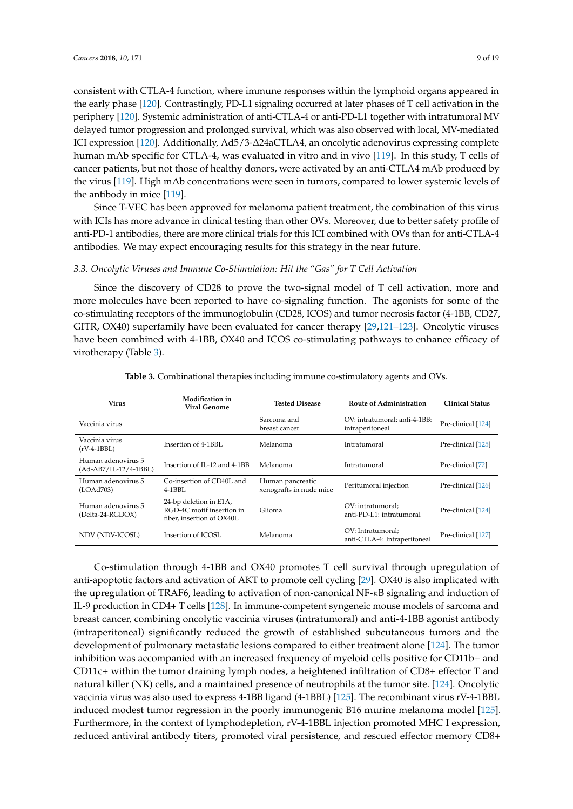consistent with CTLA-4 function, where immune responses within the lymphoid organs appeared in the early phase [\[120\]](#page-16-17). Contrastingly, PD-L1 signaling occurred at later phases of T cell activation in the periphery [\[120\]](#page-16-17). Systemic administration of anti-CTLA-4 or anti-PD-L1 together with intratumoral MV delayed tumor progression and prolonged survival, which was also observed with local, MV-mediated ICI expression [\[120\]](#page-16-17). Additionally, Ad5/3-∆24aCTLA4, an oncolytic adenovirus expressing complete human mAb specific for CTLA-4, was evaluated in vitro and in vivo [\[119\]](#page-16-16). In this study, T cells of cancer patients, but not those of healthy donors, were activated by an anti-CTLA4 mAb produced by the virus [\[119\]](#page-16-16). High mAb concentrations were seen in tumors, compared to lower systemic levels of the antibody in mice [\[119\]](#page-16-16).

Since T-VEC has been approved for melanoma patient treatment, the combination of this virus with ICIs has more advance in clinical testing than other OVs. Moreover, due to better safety profile of anti-PD-1 antibodies, there are more clinical trials for this ICI combined with OVs than for anti-CTLA-4 antibodies. We may expect encouraging results for this strategy in the near future.

### *3.3. Oncolytic Viruses and Immune Co-Stimulation: Hit the "Gas" for T Cell Activation*

Since the discovery of CD28 to prove the two-signal model of T cell activation, more and more molecules have been reported to have co-signaling function. The agonists for some of the co-stimulating receptors of the immunoglobulin (CD28, ICOS) and tumor necrosis factor (4-1BB, CD27, GITR, OX40) superfamily have been evaluated for cancer therapy [\[29,](#page-11-21)[121](#page-17-0)[–123\]](#page-17-1). Oncolytic viruses have been combined with 4-1BB, OX40 and ICOS co-stimulating pathways to enhance efficacy of virotherapy (Table [3\)](#page-8-0).

<span id="page-8-0"></span>

| <b>Virus</b>                                          | Modification in<br><b>Viral Genome</b>                                           | <b>Tested Disease</b>                       | Route of Administration                           | <b>Clinical Status</b> |
|-------------------------------------------------------|----------------------------------------------------------------------------------|---------------------------------------------|---------------------------------------------------|------------------------|
| Vaccinia virus                                        |                                                                                  | Sarcoma and<br>breast cancer                | OV: intratumoral; anti-4-1BB:<br>intraperitoneal  | Pre-clinical [124]     |
| Vaccinia virus<br>$(rV-4-1BBL)$                       | Insertion of 4-1BBL                                                              | Melanoma                                    | Intratumoral                                      | Pre-clinical [125]     |
| Human adenovirus 5<br>$(Ad-\triangleB7/IL-12/4-1BBL)$ | Insertion of IL-12 and 4-1BB                                                     | Melanoma                                    | Intratumoral                                      | Pre-clinical [72]      |
| Human adenovirus 5<br>(LO <sub>Ad703</sub> )          | Co-insertion of CD40L and<br>$4-1BBL$                                            | Human pancreatic<br>xenografts in nude mice | Peritumoral injection                             | Pre-clinical [126]     |
| Human adenovirus 5<br>(Delta-24-RGDOX)                | 24-bp deletion in E1A,<br>RGD-4C motif insertion in<br>fiber, insertion of OX40L | Glioma                                      | OV: intratumoral;<br>anti-PD-L1: intratumoral     | Pre-clinical [124]     |
| NDV (NDV-ICOSL)                                       | Insertion of ICOSL                                                               | Melanoma                                    | OV: Intratumoral:<br>anti-CTLA-4: Intraperitoneal | Pre-clinical [127]     |

Co-stimulation through 4-1BB and OX40 promotes T cell survival through upregulation of anti-apoptotic factors and activation of AKT to promote cell cycling [\[29\]](#page-11-21). OX40 is also implicated with the upregulation of TRAF6, leading to activation of non-canonical NF-κB signaling and induction of IL-9 production in CD4+ T cells [\[128\]](#page-17-6). In immune-competent syngeneic mouse models of sarcoma and breast cancer, combining oncolytic vaccinia viruses (intratumoral) and anti-4-1BB agonist antibody (intraperitoneal) significantly reduced the growth of established subcutaneous tumors and the development of pulmonary metastatic lesions compared to either treatment alone [\[124\]](#page-17-2). The tumor inhibition was accompanied with an increased frequency of myeloid cells positive for CD11b+ and CD11c+ within the tumor draining lymph nodes, a heightened infiltration of CD8+ effector T and natural killer (NK) cells, and a maintained presence of neutrophils at the tumor site. [\[124\]](#page-17-2). Oncolytic vaccinia virus was also used to express 4-1BB ligand (4-1BBL) [\[125\]](#page-17-3). The recombinant virus rV-4-1BBL induced modest tumor regression in the poorly immunogenic B16 murine melanoma model [\[125\]](#page-17-3). Furthermore, in the context of lymphodepletion, rV-4-1BBL injection promoted MHC I expression, reduced antiviral antibody titers, promoted viral persistence, and rescued effector memory CD8+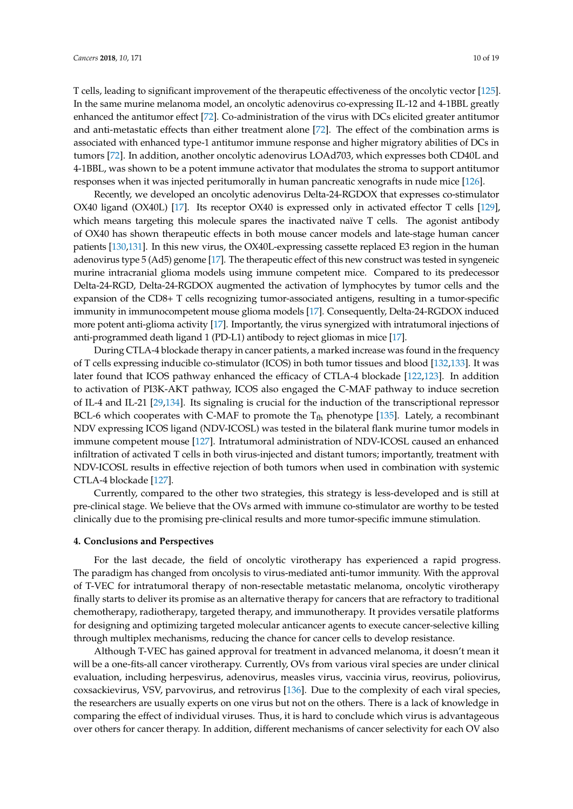T cells, leading to significant improvement of the therapeutic effectiveness of the oncolytic vector [\[125\]](#page-17-3). In the same murine melanoma model, an oncolytic adenovirus co-expressing IL-12 and 4-1BBL greatly enhanced the antitumor effect [\[72\]](#page-14-3). Co-administration of the virus with DCs elicited greater antitumor and anti-metastatic effects than either treatment alone [\[72\]](#page-14-3). The effect of the combination arms is associated with enhanced type-1 antitumor immune response and higher migratory abilities of DCs in tumors [\[72\]](#page-14-3). In addition, another oncolytic adenovirus LOAd703, which expresses both CD40L and 4-1BBL, was shown to be a potent immune activator that modulates the stroma to support antitumor responses when it was injected peritumorally in human pancreatic xenografts in nude mice [\[126\]](#page-17-4).

Recently, we developed an oncolytic adenovirus Delta-24-RGDOX that expresses co-stimulator OX40 ligand (OX40L) [\[17\]](#page-11-8). Its receptor OX40 is expressed only in activated effector T cells [\[129\]](#page-17-7), which means targeting this molecule spares the inactivated naïve T cells. The agonist antibody of OX40 has shown therapeutic effects in both mouse cancer models and late-stage human cancer patients [\[130](#page-17-8)[,131\]](#page-17-9). In this new virus, the OX40L-expressing cassette replaced E3 region in the human adenovirus type 5 (Ad5) genome [\[17\]](#page-11-8). The therapeutic effect of this new construct was tested in syngeneic murine intracranial glioma models using immune competent mice. Compared to its predecessor Delta-24-RGD, Delta-24-RGDOX augmented the activation of lymphocytes by tumor cells and the expansion of the CD8+ T cells recognizing tumor-associated antigens, resulting in a tumor-specific immunity in immunocompetent mouse glioma models [\[17\]](#page-11-8). Consequently, Delta-24-RGDOX induced more potent anti-glioma activity [\[17\]](#page-11-8). Importantly, the virus synergized with intratumoral injections of anti-programmed death ligand 1 (PD-L1) antibody to reject gliomas in mice [\[17\]](#page-11-8).

During CTLA-4 blockade therapy in cancer patients, a marked increase was found in the frequency of T cells expressing inducible co-stimulator (ICOS) in both tumor tissues and blood [\[132](#page-17-10)[,133\]](#page-17-11). It was later found that ICOS pathway enhanced the efficacy of CTLA-4 blockade [\[122](#page-17-12)[,123\]](#page-17-1). In addition to activation of PI3K-AKT pathway, ICOS also engaged the C-MAF pathway to induce secretion of IL-4 and IL-21 [\[29](#page-11-21)[,134\]](#page-17-13). Its signaling is crucial for the induction of the transcriptional repressor BCL-6 which cooperates with C-MAF to promote the  $T_{\text{fh}}$  phenotype [\[135\]](#page-17-14). Lately, a recombinant NDV expressing ICOS ligand (NDV-ICOSL) was tested in the bilateral flank murine tumor models in immune competent mouse [\[127\]](#page-17-5). Intratumoral administration of NDV-ICOSL caused an enhanced infiltration of activated T cells in both virus-injected and distant tumors; importantly, treatment with NDV-ICOSL results in effective rejection of both tumors when used in combination with systemic CTLA-4 blockade [\[127\]](#page-17-5).

Currently, compared to the other two strategies, this strategy is less-developed and is still at pre-clinical stage. We believe that the OVs armed with immune co-stimulator are worthy to be tested clinically due to the promising pre-clinical results and more tumor-specific immune stimulation.

# **4. Conclusions and Perspectives**

For the last decade, the field of oncolytic virotherapy has experienced a rapid progress. The paradigm has changed from oncolysis to virus-mediated anti-tumor immunity. With the approval of T-VEC for intratumoral therapy of non-resectable metastatic melanoma, oncolytic virotherapy finally starts to deliver its promise as an alternative therapy for cancers that are refractory to traditional chemotherapy, radiotherapy, targeted therapy, and immunotherapy. It provides versatile platforms for designing and optimizing targeted molecular anticancer agents to execute cancer-selective killing through multiplex mechanisms, reducing the chance for cancer cells to develop resistance.

Although T-VEC has gained approval for treatment in advanced melanoma, it doesn't mean it will be a one-fits-all cancer virotherapy. Currently, OVs from various viral species are under clinical evaluation, including herpesvirus, adenovirus, measles virus, vaccinia virus, reovirus, poliovirus, coxsackievirus, VSV, parvovirus, and retrovirus [\[136\]](#page-17-15). Due to the complexity of each viral species, the researchers are usually experts on one virus but not on the others. There is a lack of knowledge in comparing the effect of individual viruses. Thus, it is hard to conclude which virus is advantageous over others for cancer therapy. In addition, different mechanisms of cancer selectivity for each OV also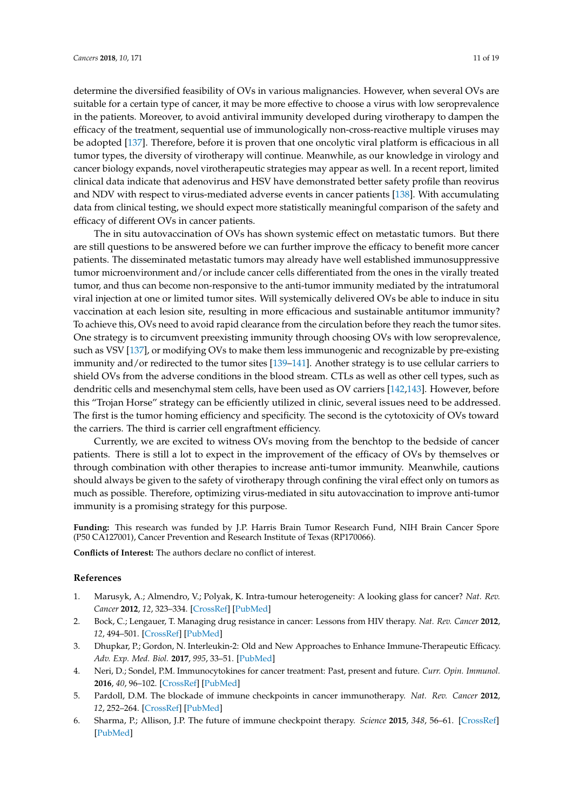determine the diversified feasibility of OVs in various malignancies. However, when several OVs are suitable for a certain type of cancer, it may be more effective to choose a virus with low seroprevalence in the patients. Moreover, to avoid antiviral immunity developed during virotherapy to dampen the efficacy of the treatment, sequential use of immunologically non-cross-reactive multiple viruses may be adopted [\[137\]](#page-17-16). Therefore, before it is proven that one oncolytic viral platform is efficacious in all tumor types, the diversity of virotherapy will continue. Meanwhile, as our knowledge in virology and cancer biology expands, novel virotherapeutic strategies may appear as well. In a recent report, limited clinical data indicate that adenovirus and HSV have demonstrated better safety profile than reovirus and NDV with respect to virus-mediated adverse events in cancer patients [\[138\]](#page-17-17). With accumulating data from clinical testing, we should expect more statistically meaningful comparison of the safety and efficacy of different OVs in cancer patients.

The in situ autovaccination of OVs has shown systemic effect on metastatic tumors. But there are still questions to be answered before we can further improve the efficacy to benefit more cancer patients. The disseminated metastatic tumors may already have well established immunosuppressive tumor microenvironment and/or include cancer cells differentiated from the ones in the virally treated tumor, and thus can become non-responsive to the anti-tumor immunity mediated by the intratumoral viral injection at one or limited tumor sites. Will systemically delivered OVs be able to induce in situ vaccination at each lesion site, resulting in more efficacious and sustainable antitumor immunity? To achieve this, OVs need to avoid rapid clearance from the circulation before they reach the tumor sites. One strategy is to circumvent preexisting immunity through choosing OVs with low seroprevalence, such as VSV [\[137\]](#page-17-16), or modifying OVs to make them less immunogenic and recognizable by pre-existing immunity and/or redirected to the tumor sites [\[139–](#page-17-18)[141\]](#page-18-0). Another strategy is to use cellular carriers to shield OVs from the adverse conditions in the blood stream. CTLs as well as other cell types, such as dendritic cells and mesenchymal stem cells, have been used as OV carriers [\[142,](#page-18-1)[143\]](#page-18-2). However, before this "Trojan Horse" strategy can be efficiently utilized in clinic, several issues need to be addressed. The first is the tumor homing efficiency and specificity. The second is the cytotoxicity of OVs toward the carriers. The third is carrier cell engraftment efficiency.

Currently, we are excited to witness OVs moving from the benchtop to the bedside of cancer patients. There is still a lot to expect in the improvement of the efficacy of OVs by themselves or through combination with other therapies to increase anti-tumor immunity. Meanwhile, cautions should always be given to the safety of virotherapy through confining the viral effect only on tumors as much as possible. Therefore, optimizing virus-mediated in situ autovaccination to improve anti-tumor immunity is a promising strategy for this purpose.

**Funding:** This research was funded by J.P. Harris Brain Tumor Research Fund, NIH Brain Cancer Spore (P50 CA127001), Cancer Prevention and Research Institute of Texas (RP170066).

**Conflicts of Interest:** The authors declare no conflict of interest.

#### **References**

- <span id="page-10-0"></span>1. Marusyk, A.; Almendro, V.; Polyak, K. Intra-tumour heterogeneity: A looking glass for cancer? *Nat. Rev. Cancer* **2012**, *12*, 323–334. [\[CrossRef\]](http://dx.doi.org/10.1038/nrc3261) [\[PubMed\]](http://www.ncbi.nlm.nih.gov/pubmed/22513401)
- <span id="page-10-1"></span>2. Bock, C.; Lengauer, T. Managing drug resistance in cancer: Lessons from HIV therapy. *Nat. Rev. Cancer* **2012**, *12*, 494–501. [\[CrossRef\]](http://dx.doi.org/10.1038/nrc3297) [\[PubMed\]](http://www.ncbi.nlm.nih.gov/pubmed/22673150)
- <span id="page-10-2"></span>3. Dhupkar, P.; Gordon, N. Interleukin-2: Old and New Approaches to Enhance Immune-Therapeutic Efficacy. *Adv. Exp. Med. Biol.* **2017**, *995*, 33–51. [\[PubMed\]](http://www.ncbi.nlm.nih.gov/pubmed/28321811)
- <span id="page-10-3"></span>4. Neri, D.; Sondel, P.M. Immunocytokines for cancer treatment: Past, present and future. *Curr. Opin. Immunol.* **2016**, *40*, 96–102. [\[CrossRef\]](http://dx.doi.org/10.1016/j.coi.2016.03.006) [\[PubMed\]](http://www.ncbi.nlm.nih.gov/pubmed/27060634)
- <span id="page-10-4"></span>5. Pardoll, D.M. The blockade of immune checkpoints in cancer immunotherapy. *Nat. Rev. Cancer* **2012**, *12*, 252–264. [\[CrossRef\]](http://dx.doi.org/10.1038/nrc3239) [\[PubMed\]](http://www.ncbi.nlm.nih.gov/pubmed/22437870)
- <span id="page-10-5"></span>6. Sharma, P.; Allison, J.P. The future of immune checkpoint therapy. *Science* **2015**, *348*, 56–61. [\[CrossRef\]](http://dx.doi.org/10.1126/science.aaa8172) [\[PubMed\]](http://www.ncbi.nlm.nih.gov/pubmed/25838373)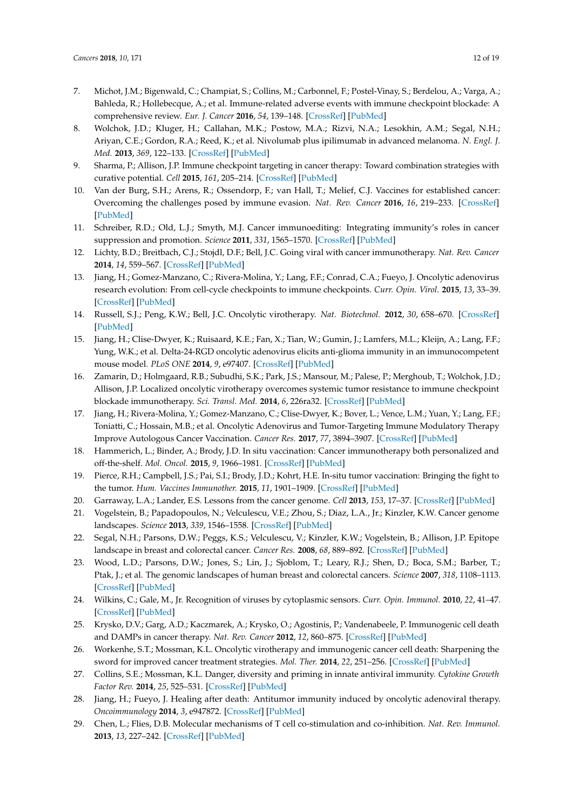- <span id="page-11-0"></span>7. Michot, J.M.; Bigenwald, C.; Champiat, S.; Collins, M.; Carbonnel, F.; Postel-Vinay, S.; Berdelou, A.; Varga, A.; Bahleda, R.; Hollebecque, A.; et al. Immune-related adverse events with immune checkpoint blockade: A comprehensive review. *Eur. J. Cancer* **2016**, *54*, 139–148. [\[CrossRef\]](http://dx.doi.org/10.1016/j.ejca.2015.11.016) [\[PubMed\]](http://www.ncbi.nlm.nih.gov/pubmed/26765102)
- <span id="page-11-1"></span>8. Wolchok, J.D.; Kluger, H.; Callahan, M.K.; Postow, M.A.; Rizvi, N.A.; Lesokhin, A.M.; Segal, N.H.; Ariyan, C.E.; Gordon, R.A.; Reed, K.; et al. Nivolumab plus ipilimumab in advanced melanoma. *N. Engl. J. Med.* **2013**, *369*, 122–133. [\[CrossRef\]](http://dx.doi.org/10.1056/NEJMoa1302369) [\[PubMed\]](http://www.ncbi.nlm.nih.gov/pubmed/23724867)
- <span id="page-11-2"></span>9. Sharma, P.; Allison, J.P. Immune checkpoint targeting in cancer therapy: Toward combination strategies with curative potential. *Cell* **2015**, *161*, 205–214. [\[CrossRef\]](http://dx.doi.org/10.1016/j.cell.2015.03.030) [\[PubMed\]](http://www.ncbi.nlm.nih.gov/pubmed/25860605)
- <span id="page-11-3"></span>10. Van der Burg, S.H.; Arens, R.; Ossendorp, F.; van Hall, T.; Melief, C.J. Vaccines for established cancer: Overcoming the challenges posed by immune evasion. *Nat. Rev. Cancer* **2016**, *16*, 219–233. [\[CrossRef\]](http://dx.doi.org/10.1038/nrc.2016.16) [\[PubMed\]](http://www.ncbi.nlm.nih.gov/pubmed/26965076)
- <span id="page-11-4"></span>11. Schreiber, R.D.; Old, L.J.; Smyth, M.J. Cancer immunoediting: Integrating immunity's roles in cancer suppression and promotion. *Science* **2011**, *331*, 1565–1570. [\[CrossRef\]](http://dx.doi.org/10.1126/science.1203486) [\[PubMed\]](http://www.ncbi.nlm.nih.gov/pubmed/21436444)
- <span id="page-11-5"></span>12. Lichty, B.D.; Breitbach, C.J.; Stojdl, D.F.; Bell, J.C. Going viral with cancer immunotherapy. *Nat. Rev. Cancer* **2014**, *14*, 559–567. [\[CrossRef\]](http://dx.doi.org/10.1038/nrc3770) [\[PubMed\]](http://www.ncbi.nlm.nih.gov/pubmed/24990523)
- 13. Jiang, H.; Gomez-Manzano, C.; Rivera-Molina, Y.; Lang, F.F.; Conrad, C.A.; Fueyo, J. Oncolytic adenovirus research evolution: From cell-cycle checkpoints to immune checkpoints. *Curr. Opin. Virol.* **2015**, *13*, 33–39. [\[CrossRef\]](http://dx.doi.org/10.1016/j.coviro.2015.03.009) [\[PubMed\]](http://www.ncbi.nlm.nih.gov/pubmed/25863716)
- <span id="page-11-6"></span>14. Russell, S.J.; Peng, K.W.; Bell, J.C. Oncolytic virotherapy. *Nat. Biotechnol.* **2012**, *30*, 658–670. [\[CrossRef\]](http://dx.doi.org/10.1038/nbt.2287) [\[PubMed\]](http://www.ncbi.nlm.nih.gov/pubmed/22781695)
- <span id="page-11-7"></span>15. Jiang, H.; Clise-Dwyer, K.; Ruisaard, K.E.; Fan, X.; Tian, W.; Gumin, J.; Lamfers, M.L.; Kleijn, A.; Lang, F.F.; Yung, W.K.; et al. Delta-24-RGD oncolytic adenovirus elicits anti-glioma immunity in an immunocompetent mouse model. *PLoS ONE* **2014**, *9*, e97407. [\[CrossRef\]](http://dx.doi.org/10.1371/journal.pone.0097407) [\[PubMed\]](http://www.ncbi.nlm.nih.gov/pubmed/24827739)
- <span id="page-11-20"></span>16. Zamarin, D.; Holmgaard, R.B.; Subudhi, S.K.; Park, J.S.; Mansour, M.; Palese, P.; Merghoub, T.; Wolchok, J.D.; Allison, J.P. Localized oncolytic virotherapy overcomes systemic tumor resistance to immune checkpoint blockade immunotherapy. *Sci. Transl. Med.* **2014**, *6*, 226ra32. [\[CrossRef\]](http://dx.doi.org/10.1126/scitranslmed.3008095) [\[PubMed\]](http://www.ncbi.nlm.nih.gov/pubmed/24598590)
- <span id="page-11-8"></span>17. Jiang, H.; Rivera-Molina, Y.; Gomez-Manzano, C.; Clise-Dwyer, K.; Bover, L.; Vence, L.M.; Yuan, Y.; Lang, F.F.; Toniatti, C.; Hossain, M.B.; et al. Oncolytic Adenovirus and Tumor-Targeting Immune Modulatory Therapy Improve Autologous Cancer Vaccination. *Cancer Res.* **2017**, *77*, 3894–3907. [\[CrossRef\]](http://dx.doi.org/10.1158/0008-5472.CAN-17-0468) [\[PubMed\]](http://www.ncbi.nlm.nih.gov/pubmed/28566332)
- <span id="page-11-9"></span>18. Hammerich, L.; Binder, A.; Brody, J.D. In situ vaccination: Cancer immunotherapy both personalized and off-the-shelf. *Mol. Oncol.* **2015**, *9*, 1966–1981. [\[CrossRef\]](http://dx.doi.org/10.1016/j.molonc.2015.10.016) [\[PubMed\]](http://www.ncbi.nlm.nih.gov/pubmed/26632446)
- <span id="page-11-10"></span>19. Pierce, R.H.; Campbell, J.S.; Pai, S.I.; Brody, J.D.; Kohrt, H.E. In-situ tumor vaccination: Bringing the fight to the tumor. *Hum. Vaccines Immunother.* **2015**, *11*, 1901–1909. [\[CrossRef\]](http://dx.doi.org/10.1080/21645515.2015.1049779) [\[PubMed\]](http://www.ncbi.nlm.nih.gov/pubmed/26055074)
- <span id="page-11-11"></span>20. Garraway, L.A.; Lander, E.S. Lessons from the cancer genome. *Cell* **2013**, *153*, 17–37. [\[CrossRef\]](http://dx.doi.org/10.1016/j.cell.2013.03.002) [\[PubMed\]](http://www.ncbi.nlm.nih.gov/pubmed/23540688)
- <span id="page-11-12"></span>21. Vogelstein, B.; Papadopoulos, N.; Velculescu, V.E.; Zhou, S.; Diaz, L.A., Jr.; Kinzler, K.W. Cancer genome landscapes. *Science* **2013**, *339*, 1546–1558. [\[CrossRef\]](http://dx.doi.org/10.1126/science.1235122) [\[PubMed\]](http://www.ncbi.nlm.nih.gov/pubmed/23539594)
- <span id="page-11-13"></span>22. Segal, N.H.; Parsons, D.W.; Peggs, K.S.; Velculescu, V.; Kinzler, K.W.; Vogelstein, B.; Allison, J.P. Epitope landscape in breast and colorectal cancer. *Cancer Res.* **2008**, *68*, 889–892. [\[CrossRef\]](http://dx.doi.org/10.1158/0008-5472.CAN-07-3095) [\[PubMed\]](http://www.ncbi.nlm.nih.gov/pubmed/18245491)
- <span id="page-11-14"></span>23. Wood, L.D.; Parsons, D.W.; Jones, S.; Lin, J.; Sjoblom, T.; Leary, R.J.; Shen, D.; Boca, S.M.; Barber, T.; Ptak, J.; et al. The genomic landscapes of human breast and colorectal cancers. *Science* **2007**, *318*, 1108–1113. [\[CrossRef\]](http://dx.doi.org/10.1126/science.1145720) [\[PubMed\]](http://www.ncbi.nlm.nih.gov/pubmed/17932254)
- <span id="page-11-15"></span>24. Wilkins, C.; Gale, M., Jr. Recognition of viruses by cytoplasmic sensors. *Curr. Opin. Immunol.* **2010**, *22*, 41–47. [\[CrossRef\]](http://dx.doi.org/10.1016/j.coi.2009.12.003) [\[PubMed\]](http://www.ncbi.nlm.nih.gov/pubmed/20061127)
- <span id="page-11-16"></span>25. Krysko, D.V.; Garg, A.D.; Kaczmarek, A.; Krysko, O.; Agostinis, P.; Vandenabeele, P. Immunogenic cell death and DAMPs in cancer therapy. *Nat. Rev. Cancer* **2012**, *12*, 860–875. [\[CrossRef\]](http://dx.doi.org/10.1038/nrc3380) [\[PubMed\]](http://www.ncbi.nlm.nih.gov/pubmed/23151605)
- <span id="page-11-17"></span>26. Workenhe, S.T.; Mossman, K.L. Oncolytic virotherapy and immunogenic cancer cell death: Sharpening the sword for improved cancer treatment strategies. *Mol. Ther.* **2014**, *22*, 251–256. [\[CrossRef\]](http://dx.doi.org/10.1038/mt.2013.220) [\[PubMed\]](http://www.ncbi.nlm.nih.gov/pubmed/24048442)
- <span id="page-11-18"></span>27. Collins, S.E.; Mossman, K.L. Danger, diversity and priming in innate antiviral immunity. *Cytokine Growth Factor Rev.* **2014**, *25*, 525–531. [\[CrossRef\]](http://dx.doi.org/10.1016/j.cytogfr.2014.07.002) [\[PubMed\]](http://www.ncbi.nlm.nih.gov/pubmed/25081316)
- <span id="page-11-19"></span>28. Jiang, H.; Fueyo, J. Healing after death: Antitumor immunity induced by oncolytic adenoviral therapy. *Oncoimmunology* **2014**, *3*, e947872. [\[CrossRef\]](http://dx.doi.org/10.4161/21624011.2014.947872) [\[PubMed\]](http://www.ncbi.nlm.nih.gov/pubmed/25954598)
- <span id="page-11-21"></span>29. Chen, L.; Flies, D.B. Molecular mechanisms of T cell co-stimulation and co-inhibition. *Nat. Rev. Immunol.* **2013**, *13*, 227–242. [\[CrossRef\]](http://dx.doi.org/10.1038/nri3405) [\[PubMed\]](http://www.ncbi.nlm.nih.gov/pubmed/23470321)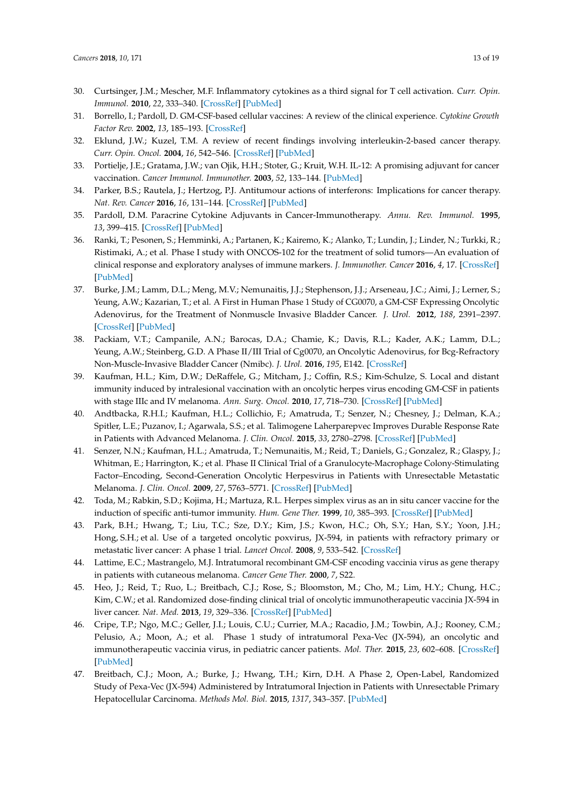- <span id="page-12-0"></span>30. Curtsinger, J.M.; Mescher, M.F. Inflammatory cytokines as a third signal for T cell activation. *Curr. Opin. Immunol.* **2010**, *22*, 333–340. [\[CrossRef\]](http://dx.doi.org/10.1016/j.coi.2010.02.013) [\[PubMed\]](http://www.ncbi.nlm.nih.gov/pubmed/20363604)
- <span id="page-12-1"></span>31. Borrello, I.; Pardoll, D. GM-CSF-based cellular vaccines: A review of the clinical experience. *Cytokine Growth Factor Rev.* **2002**, *13*, 185–193. [\[CrossRef\]](http://dx.doi.org/10.1016/S1359-6101(01)00034-X)
- 32. Eklund, J.W.; Kuzel, T.M. A review of recent findings involving interleukin-2-based cancer therapy. *Curr. Opin. Oncol.* **2004**, *16*, 542–546. [\[CrossRef\]](http://dx.doi.org/10.1097/01.cco.0000142070.45097.68) [\[PubMed\]](http://www.ncbi.nlm.nih.gov/pubmed/15627015)
- 33. Portielje, J.E.; Gratama, J.W.; van Ojik, H.H.; Stoter, G.; Kruit, W.H. IL-12: A promising adjuvant for cancer vaccination. *Cancer Immunol. Immunother.* **2003**, *52*, 133–144. [\[PubMed\]](http://www.ncbi.nlm.nih.gov/pubmed/12649742)
- <span id="page-12-2"></span>34. Parker, B.S.; Rautela, J.; Hertzog, P.J. Antitumour actions of interferons: Implications for cancer therapy. *Nat. Rev. Cancer* **2016**, *16*, 131–144. [\[CrossRef\]](http://dx.doi.org/10.1038/nrc.2016.14) [\[PubMed\]](http://www.ncbi.nlm.nih.gov/pubmed/26911188)
- <span id="page-12-3"></span>35. Pardoll, D.M. Paracrine Cytokine Adjuvants in Cancer-Immunotherapy. *Annu. Rev. Immunol.* **1995**, *13*, 399–415. [\[CrossRef\]](http://dx.doi.org/10.1146/annurev.iy.13.040195.002151) [\[PubMed\]](http://www.ncbi.nlm.nih.gov/pubmed/7612229)
- <span id="page-12-4"></span>36. Ranki, T.; Pesonen, S.; Hemminki, A.; Partanen, K.; Kairemo, K.; Alanko, T.; Lundin, J.; Linder, N.; Turkki, R.; Ristimaki, A.; et al. Phase I study with ONCOS-102 for the treatment of solid tumors—An evaluation of clinical response and exploratory analyses of immune markers. *J. Immunother. Cancer* **2016**, *4*, 17. [\[CrossRef\]](http://dx.doi.org/10.1186/s40425-016-0121-5) [\[PubMed\]](http://www.ncbi.nlm.nih.gov/pubmed/26981247)
- <span id="page-12-5"></span>37. Burke, J.M.; Lamm, D.L.; Meng, M.V.; Nemunaitis, J.J.; Stephenson, J.J.; Arseneau, J.C.; Aimi, J.; Lerner, S.; Yeung, A.W.; Kazarian, T.; et al. A First in Human Phase 1 Study of CG0070, a GM-CSF Expressing Oncolytic Adenovirus, for the Treatment of Nonmuscle Invasive Bladder Cancer. *J. Urol.* **2012**, *188*, 2391–2397. [\[CrossRef\]](http://dx.doi.org/10.1016/j.juro.2012.07.097) [\[PubMed\]](http://www.ncbi.nlm.nih.gov/pubmed/23088985)
- <span id="page-12-6"></span>38. Packiam, V.T.; Campanile, A.N.; Barocas, D.A.; Chamie, K.; Davis, R.L.; Kader, A.K.; Lamm, D.L.; Yeung, A.W.; Steinberg, G.D. A Phase II/III Trial of Cg0070, an Oncolytic Adenovirus, for Bcg-Refractory Non-Muscle-Invasive Bladder Cancer (Nmibc). *J. Urol.* **2016**, *195*, E142. [\[CrossRef\]](http://dx.doi.org/10.1016/j.juro.2016.02.2500)
- <span id="page-12-7"></span>39. Kaufman, H.L.; Kim, D.W.; DeRaffele, G.; Mitcham, J.; Coffin, R.S.; Kim-Schulze, S. Local and distant immunity induced by intralesional vaccination with an oncolytic herpes virus encoding GM-CSF in patients with stage IIIc and IV melanoma. *Ann. Surg. Oncol.* **2010**, *17*, 718–730. [\[CrossRef\]](http://dx.doi.org/10.1245/s10434-009-0809-6) [\[PubMed\]](http://www.ncbi.nlm.nih.gov/pubmed/19915919)
- <span id="page-12-11"></span>40. Andtbacka, R.H.I.; Kaufman, H.L.; Collichio, F.; Amatruda, T.; Senzer, N.; Chesney, J.; Delman, K.A.; Spitler, L.E.; Puzanov, I.; Agarwala, S.S.; et al. Talimogene Laherparepvec Improves Durable Response Rate in Patients with Advanced Melanoma. *J. Clin. Oncol.* **2015**, *33*, 2780–2798. [\[CrossRef\]](http://dx.doi.org/10.1200/JCO.2014.58.3377) [\[PubMed\]](http://www.ncbi.nlm.nih.gov/pubmed/26014293)
- 41. Senzer, N.N.; Kaufman, H.L.; Amatruda, T.; Nemunaitis, M.; Reid, T.; Daniels, G.; Gonzalez, R.; Glaspy, J.; Whitman, E.; Harrington, K.; et al. Phase II Clinical Trial of a Granulocyte-Macrophage Colony-Stimulating Factor–Encoding, Second-Generation Oncolytic Herpesvirus in Patients with Unresectable Metastatic Melanoma. *J. Clin. Oncol.* **2009**, *27*, 5763–5771. [\[CrossRef\]](http://dx.doi.org/10.1200/JCO.2009.24.3675) [\[PubMed\]](http://www.ncbi.nlm.nih.gov/pubmed/19884534)
- <span id="page-12-8"></span>42. Toda, M.; Rabkin, S.D.; Kojima, H.; Martuza, R.L. Herpes simplex virus as an in situ cancer vaccine for the induction of specific anti-tumor immunity. *Hum. Gene Ther.* **1999**, *10*, 385–393. [\[CrossRef\]](http://dx.doi.org/10.1089/10430349950018832) [\[PubMed\]](http://www.ncbi.nlm.nih.gov/pubmed/10048391)
- <span id="page-12-9"></span>43. Park, B.H.; Hwang, T.; Liu, T.C.; Sze, D.Y.; Kim, J.S.; Kwon, H.C.; Oh, S.Y.; Han, S.Y.; Yoon, J.H.; Hong, S.H.; et al. Use of a targeted oncolytic poxvirus, JX-594, in patients with refractory primary or metastatic liver cancer: A phase 1 trial. *Lancet Oncol.* **2008**, *9*, 533–542. [\[CrossRef\]](http://dx.doi.org/10.1016/S1470-2045(08)70107-4)
- 44. Lattime, E.C.; Mastrangelo, M.J. Intratumoral recombinant GM-CSF encoding vaccinia virus as gene therapy in patients with cutaneous melanoma. *Cancer Gene Ther.* **2000**, *7*, S22.
- <span id="page-12-12"></span>45. Heo, J.; Reid, T.; Ruo, L.; Breitbach, C.J.; Rose, S.; Bloomston, M.; Cho, M.; Lim, H.Y.; Chung, H.C.; Kim, C.W.; et al. Randomized dose-finding clinical trial of oncolytic immunotherapeutic vaccinia JX-594 in liver cancer. *Nat. Med.* **2013**, *19*, 329–336. [\[CrossRef\]](http://dx.doi.org/10.1038/nm.3089) [\[PubMed\]](http://www.ncbi.nlm.nih.gov/pubmed/23396206)
- 46. Cripe, T.P.; Ngo, M.C.; Geller, J.I.; Louis, C.U.; Currier, M.A.; Racadio, J.M.; Towbin, A.J.; Rooney, C.M.; Pelusio, A.; Moon, A.; et al. Phase 1 study of intratumoral Pexa-Vec (JX-594), an oncolytic and immunotherapeutic vaccinia virus, in pediatric cancer patients. *Mol. Ther.* **2015**, *23*, 602–608. [\[CrossRef\]](http://dx.doi.org/10.1038/mt.2014.243) [\[PubMed\]](http://www.ncbi.nlm.nih.gov/pubmed/25531693)
- <span id="page-12-10"></span>47. Breitbach, C.J.; Moon, A.; Burke, J.; Hwang, T.H.; Kirn, D.H. A Phase 2, Open-Label, Randomized Study of Pexa-Vec (JX-594) Administered by Intratumoral Injection in Patients with Unresectable Primary Hepatocellular Carcinoma. *Methods Mol. Biol.* **2015**, *1317*, 343–357. [\[PubMed\]](http://www.ncbi.nlm.nih.gov/pubmed/26072416)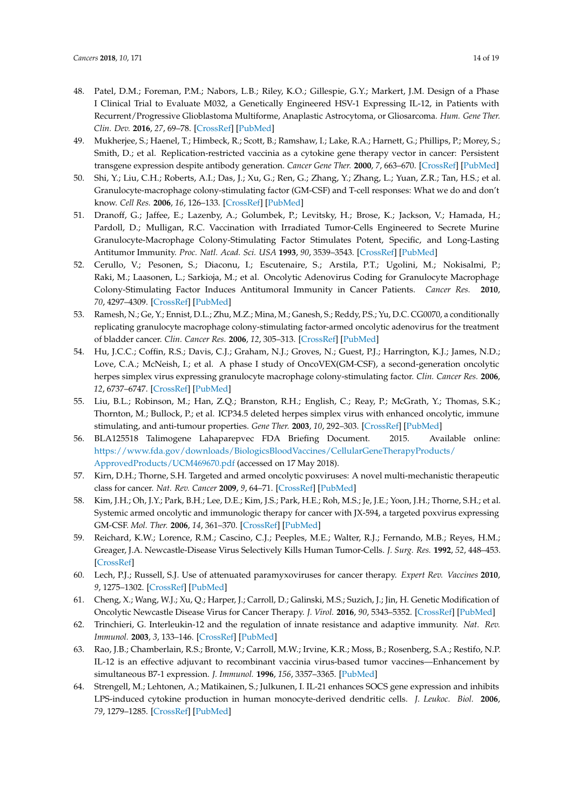- <span id="page-13-0"></span>48. Patel, D.M.; Foreman, P.M.; Nabors, L.B.; Riley, K.O.; Gillespie, G.Y.; Markert, J.M. Design of a Phase I Clinical Trial to Evaluate M032, a Genetically Engineered HSV-1 Expressing IL-12, in Patients with Recurrent/Progressive Glioblastoma Multiforme, Anaplastic Astrocytoma, or Gliosarcoma. *Hum. Gene Ther. Clin. Dev.* **2016**, *27*, 69–78. [\[CrossRef\]](http://dx.doi.org/10.1089/humc.2016.031) [\[PubMed\]](http://www.ncbi.nlm.nih.gov/pubmed/27314913)
- <span id="page-13-1"></span>49. Mukherjee, S.; Haenel, T.; Himbeck, R.; Scott, B.; Ramshaw, I.; Lake, R.A.; Harnett, G.; Phillips, P.; Morey, S.; Smith, D.; et al. Replication-restricted vaccinia as a cytokine gene therapy vector in cancer: Persistent transgene expression despite antibody generation. *Cancer Gene Ther.* **2000**, *7*, 663–670. [\[CrossRef\]](http://dx.doi.org/10.1038/sj.cgt.7700133) [\[PubMed\]](http://www.ncbi.nlm.nih.gov/pubmed/10830713)
- <span id="page-13-2"></span>50. Shi, Y.; Liu, C.H.; Roberts, A.I.; Das, J.; Xu, G.; Ren, G.; Zhang, Y.; Zhang, L.; Yuan, Z.R.; Tan, H.S.; et al. Granulocyte-macrophage colony-stimulating factor (GM-CSF) and T-cell responses: What we do and don't know. *Cell Res.* **2006**, *16*, 126–133. [\[CrossRef\]](http://dx.doi.org/10.1038/sj.cr.7310017) [\[PubMed\]](http://www.ncbi.nlm.nih.gov/pubmed/16474424)
- <span id="page-13-3"></span>51. Dranoff, G.; Jaffee, E.; Lazenby, A.; Golumbek, P.; Levitsky, H.; Brose, K.; Jackson, V.; Hamada, H.; Pardoll, D.; Mulligan, R.C. Vaccination with Irradiated Tumor-Cells Engineered to Secrete Murine Granulocyte-Macrophage Colony-Stimulating Factor Stimulates Potent, Specific, and Long-Lasting Antitumor Immunity. *Proc. Natl. Acad. Sci. USA* **1993**, *90*, 3539–3543. [\[CrossRef\]](http://dx.doi.org/10.1073/pnas.90.8.3539) [\[PubMed\]](http://www.ncbi.nlm.nih.gov/pubmed/8097319)
- <span id="page-13-4"></span>52. Cerullo, V.; Pesonen, S.; Diaconu, I.; Escutenaire, S.; Arstila, P.T.; Ugolini, M.; Nokisalmi, P.; Raki, M.; Laasonen, L.; Sarkioja, M.; et al. Oncolytic Adenovirus Coding for Granulocyte Macrophage Colony-Stimulating Factor Induces Antitumoral Immunity in Cancer Patients. *Cancer Res.* **2010**, *70*, 4297–4309. [\[CrossRef\]](http://dx.doi.org/10.1158/0008-5472.CAN-09-3567) [\[PubMed\]](http://www.ncbi.nlm.nih.gov/pubmed/20484030)
- <span id="page-13-5"></span>53. Ramesh, N.; Ge, Y.; Ennist, D.L.; Zhu, M.Z.; Mina, M.; Ganesh, S.; Reddy, P.S.; Yu, D.C. CG0070, a conditionally replicating granulocyte macrophage colony-stimulating factor-armed oncolytic adenovirus for the treatment of bladder cancer. *Clin. Cancer Res.* **2006**, *12*, 305–313. [\[CrossRef\]](http://dx.doi.org/10.1158/1078-0432.CCR-05-1059) [\[PubMed\]](http://www.ncbi.nlm.nih.gov/pubmed/16397056)
- <span id="page-13-6"></span>54. Hu, J.C.C.; Coffin, R.S.; Davis, C.J.; Graham, N.J.; Groves, N.; Guest, P.J.; Harrington, K.J.; James, N.D.; Love, C.A.; McNeish, I.; et al. A phase I study of OncoVEX(GM-CSF), a second-generation oncolytic herpes simplex virus expressing granulocyte macrophage colony-stimulating factor. *Clin. Cancer Res.* **2006**, *12*, 6737–6747. [\[CrossRef\]](http://dx.doi.org/10.1158/1078-0432.CCR-06-0759) [\[PubMed\]](http://www.ncbi.nlm.nih.gov/pubmed/17121894)
- <span id="page-13-7"></span>55. Liu, B.L.; Robinson, M.; Han, Z.Q.; Branston, R.H.; English, C.; Reay, P.; McGrath, Y.; Thomas, S.K.; Thornton, M.; Bullock, P.; et al. ICP34.5 deleted herpes simplex virus with enhanced oncolytic, immune stimulating, and anti-tumour properties. *Gene Ther.* **2003**, *10*, 292–303. [\[CrossRef\]](http://dx.doi.org/10.1038/sj.gt.3301885) [\[PubMed\]](http://www.ncbi.nlm.nih.gov/pubmed/12595888)
- <span id="page-13-8"></span>56. BLA125518 Talimogene Lahaparepvec FDA Briefing Document. 2015. Available online: [https://www.fda.gov/downloads/BiologicsBloodVaccines/CellularGeneTherapyProducts/](https://www.fda.gov/downloads/BiologicsBloodVaccines/CellularGeneTherapyProducts/ApprovedProducts/UCM469670.pdf) [ApprovedProducts/UCM469670.pdf](https://www.fda.gov/downloads/BiologicsBloodVaccines/CellularGeneTherapyProducts/ApprovedProducts/UCM469670.pdf) (accessed on 17 May 2018).
- <span id="page-13-9"></span>57. Kirn, D.H.; Thorne, S.H. Targeted and armed oncolytic poxviruses: A novel multi-mechanistic therapeutic class for cancer. *Nat. Rev. Cancer* **2009**, *9*, 64–71. [\[CrossRef\]](http://dx.doi.org/10.1038/nrc2545) [\[PubMed\]](http://www.ncbi.nlm.nih.gov/pubmed/19104515)
- <span id="page-13-10"></span>58. Kim, J.H.; Oh, J.Y.; Park, B.H.; Lee, D.E.; Kim, J.S.; Park, H.E.; Roh, M.S.; Je, J.E.; Yoon, J.H.; Thorne, S.H.; et al. Systemic armed oncolytic and immunologic therapy for cancer with JX-594, a targeted poxvirus expressing GM-CSF. *Mol. Ther.* **2006**, *14*, 361–370. [\[CrossRef\]](http://dx.doi.org/10.1016/j.ymthe.2006.05.008) [\[PubMed\]](http://www.ncbi.nlm.nih.gov/pubmed/16905462)
- <span id="page-13-11"></span>59. Reichard, K.W.; Lorence, R.M.; Cascino, C.J.; Peeples, M.E.; Walter, R.J.; Fernando, M.B.; Reyes, H.M.; Greager, J.A. Newcastle-Disease Virus Selectively Kills Human Tumor-Cells. *J. Surg. Res.* **1992**, *52*, 448–453. [\[CrossRef\]](http://dx.doi.org/10.1016/0022-4804(92)90310-V)
- <span id="page-13-12"></span>60. Lech, P.J.; Russell, S.J. Use of attenuated paramyxoviruses for cancer therapy. *Expert Rev. Vaccines* **2010**, *9*, 1275–1302. [\[CrossRef\]](http://dx.doi.org/10.1586/erv.10.124) [\[PubMed\]](http://www.ncbi.nlm.nih.gov/pubmed/21087107)
- <span id="page-13-13"></span>61. Cheng, X.; Wang, W.J.; Xu, Q.; Harper, J.; Carroll, D.; Galinski, M.S.; Suzich, J.; Jin, H. Genetic Modification of Oncolytic Newcastle Disease Virus for Cancer Therapy. *J. Virol.* **2016**, *90*, 5343–5352. [\[CrossRef\]](http://dx.doi.org/10.1128/JVI.00136-16) [\[PubMed\]](http://www.ncbi.nlm.nih.gov/pubmed/27009956)
- <span id="page-13-14"></span>62. Trinchieri, G. Interleukin-12 and the regulation of innate resistance and adaptive immunity. *Nat. Rev. Immunol.* **2003**, *3*, 133–146. [\[CrossRef\]](http://dx.doi.org/10.1038/nri1001) [\[PubMed\]](http://www.ncbi.nlm.nih.gov/pubmed/12563297)
- <span id="page-13-15"></span>63. Rao, J.B.; Chamberlain, R.S.; Bronte, V.; Carroll, M.W.; Irvine, K.R.; Moss, B.; Rosenberg, S.A.; Restifo, N.P. IL-12 is an effective adjuvant to recombinant vaccinia virus-based tumor vaccines—Enhancement by simultaneous B7-1 expression. *J. Immunol.* **1996**, *156*, 3357–3365. [\[PubMed\]](http://www.ncbi.nlm.nih.gov/pubmed/8617961)
- 64. Strengell, M.; Lehtonen, A.; Matikainen, S.; Julkunen, I. IL-21 enhances SOCS gene expression and inhibits LPS-induced cytokine production in human monocyte-derived dendritic cells. *J. Leukoc. Biol.* **2006**, *79*, 1279–1285. [\[CrossRef\]](http://dx.doi.org/10.1189/jlb.0905503) [\[PubMed\]](http://www.ncbi.nlm.nih.gov/pubmed/16551679)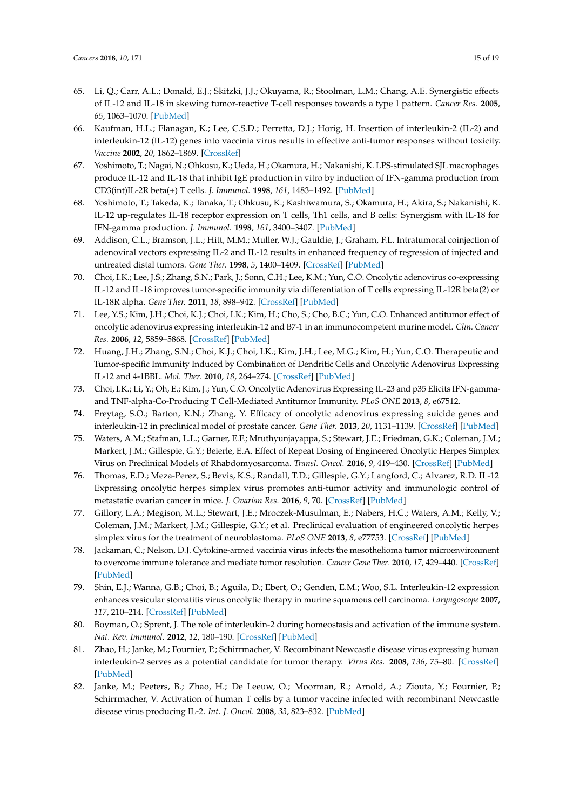- 65. Li, Q.; Carr, A.L.; Donald, E.J.; Skitzki, J.J.; Okuyama, R.; Stoolman, L.M.; Chang, A.E. Synergistic effects of IL-12 and IL-18 in skewing tumor-reactive T-cell responses towards a type 1 pattern. *Cancer Res.* **2005**, *65*, 1063–1070. [\[PubMed\]](http://www.ncbi.nlm.nih.gov/pubmed/15705908)
- 66. Kaufman, H.L.; Flanagan, K.; Lee, C.S.D.; Perretta, D.J.; Horig, H. Insertion of interleukin-2 (IL-2) and interleukin-12 (IL-12) genes into vaccinia virus results in effective anti-tumor responses without toxicity. *Vaccine* **2002**, *20*, 1862–1869. [\[CrossRef\]](http://dx.doi.org/10.1016/S0264-410X(02)00032-4)
- 67. Yoshimoto, T.; Nagai, N.; Ohkusu, K.; Ueda, H.; Okamura, H.; Nakanishi, K. LPS-stimulated SJL macrophages produce IL-12 and IL-18 that inhibit IgE production in vitro by induction of IFN-gamma production from CD3(int)IL-2R beta(+) T cells. *J. Immunol.* **1998**, *161*, 1483–1492. [\[PubMed\]](http://www.ncbi.nlm.nih.gov/pubmed/9686615)
- <span id="page-14-0"></span>68. Yoshimoto, T.; Takeda, K.; Tanaka, T.; Ohkusu, K.; Kashiwamura, S.; Okamura, H.; Akira, S.; Nakanishi, K. IL-12 up-regulates IL-18 receptor expression on T cells, Th1 cells, and B cells: Synergism with IL-18 for IFN-gamma production. *J. Immunol.* **1998**, *161*, 3400–3407. [\[PubMed\]](http://www.ncbi.nlm.nih.gov/pubmed/9759857)
- <span id="page-14-1"></span>69. Addison, C.L.; Bramson, J.L.; Hitt, M.M.; Muller, W.J.; Gauldie, J.; Graham, F.L. Intratumoral coinjection of adenoviral vectors expressing IL-2 and IL-12 results in enhanced frequency of regression of injected and untreated distal tumors. *Gene Ther.* **1998**, *5*, 1400–1409. [\[CrossRef\]](http://dx.doi.org/10.1038/sj.gt.3300731) [\[PubMed\]](http://www.ncbi.nlm.nih.gov/pubmed/9930346)
- <span id="page-14-2"></span>70. Choi, I.K.; Lee, J.S.; Zhang, S.N.; Park, J.; Sonn, C.H.; Lee, K.M.; Yun, C.O. Oncolytic adenovirus co-expressing IL-12 and IL-18 improves tumor-specific immunity via differentiation of T cells expressing IL-12R beta(2) or IL-18R alpha. *Gene Ther.* **2011**, *18*, 898–942. [\[CrossRef\]](http://dx.doi.org/10.1038/gt.2011.37) [\[PubMed\]](http://www.ncbi.nlm.nih.gov/pubmed/21451575)
- 71. Lee, Y.S.; Kim, J.H.; Choi, K.J.; Choi, I.K.; Kim, H.; Cho, S.; Cho, B.C.; Yun, C.O. Enhanced antitumor effect of oncolytic adenovirus expressing interleukin-12 and B7-1 in an immunocompetent murine model. *Clin. Cancer Res.* **2006**, *12*, 5859–5868. [\[CrossRef\]](http://dx.doi.org/10.1158/1078-0432.CCR-06-0935) [\[PubMed\]](http://www.ncbi.nlm.nih.gov/pubmed/17020994)
- <span id="page-14-3"></span>72. Huang, J.H.; Zhang, S.N.; Choi, K.J.; Choi, I.K.; Kim, J.H.; Lee, M.G.; Kim, H.; Yun, C.O. Therapeutic and Tumor-specific Immunity Induced by Combination of Dendritic Cells and Oncolytic Adenovirus Expressing IL-12 and 4-1BBL. *Mol. Ther.* **2010**, *18*, 264–274. [\[CrossRef\]](http://dx.doi.org/10.1038/mt.2009.205) [\[PubMed\]](http://www.ncbi.nlm.nih.gov/pubmed/19738604)
- <span id="page-14-4"></span>73. Choi, I.K.; Li, Y.; Oh, E.; Kim, J.; Yun, C.O. Oncolytic Adenovirus Expressing IL-23 and p35 Elicits IFN-gammaand TNF-alpha-Co-Producing T Cell-Mediated Antitumor Immunity. *PLoS ONE* **2013**, *8*, e67512.
- <span id="page-14-5"></span>74. Freytag, S.O.; Barton, K.N.; Zhang, Y. Efficacy of oncolytic adenovirus expressing suicide genes and interleukin-12 in preclinical model of prostate cancer. *Gene Ther.* **2013**, *20*, 1131–1139. [\[CrossRef\]](http://dx.doi.org/10.1038/gt.2013.40) [\[PubMed\]](http://www.ncbi.nlm.nih.gov/pubmed/23842593)
- <span id="page-14-6"></span>75. Waters, A.M.; Stafman, L.L.; Garner, E.F.; Mruthyunjayappa, S.; Stewart, J.E.; Friedman, G.K.; Coleman, J.M.; Markert, J.M.; Gillespie, G.Y.; Beierle, E.A. Effect of Repeat Dosing of Engineered Oncolytic Herpes Simplex Virus on Preclinical Models of Rhabdomyosarcoma. *Transl. Oncol.* **2016**, *9*, 419–430. [\[CrossRef\]](http://dx.doi.org/10.1016/j.tranon.2016.07.008) [\[PubMed\]](http://www.ncbi.nlm.nih.gov/pubmed/27751346)
- 76. Thomas, E.D.; Meza-Perez, S.; Bevis, K.S.; Randall, T.D.; Gillespie, G.Y.; Langford, C.; Alvarez, R.D. IL-12 Expressing oncolytic herpes simplex virus promotes anti-tumor activity and immunologic control of metastatic ovarian cancer in mice. *J. Ovarian Res.* **2016**, *9*, 70. [\[CrossRef\]](http://dx.doi.org/10.1186/s13048-016-0282-3) [\[PubMed\]](http://www.ncbi.nlm.nih.gov/pubmed/27784340)
- <span id="page-14-7"></span>77. Gillory, L.A.; Megison, M.L.; Stewart, J.E.; Mroczek-Musulman, E.; Nabers, H.C.; Waters, A.M.; Kelly, V.; Coleman, J.M.; Markert, J.M.; Gillespie, G.Y.; et al. Preclinical evaluation of engineered oncolytic herpes simplex virus for the treatment of neuroblastoma. *PLoS ONE* **2013**, *8*, e77753. [\[CrossRef\]](http://dx.doi.org/10.1371/journal.pone.0077753) [\[PubMed\]](http://www.ncbi.nlm.nih.gov/pubmed/24130898)
- <span id="page-14-8"></span>78. Jackaman, C.; Nelson, D.J. Cytokine-armed vaccinia virus infects the mesothelioma tumor microenvironment to overcome immune tolerance and mediate tumor resolution. *Cancer Gene Ther.* **2010**, *17*, 429–440. [\[CrossRef\]](http://dx.doi.org/10.1038/cgt.2009.85) [\[PubMed\]](http://www.ncbi.nlm.nih.gov/pubmed/20150930)
- <span id="page-14-9"></span>79. Shin, E.J.; Wanna, G.B.; Choi, B.; Aguila, D.; Ebert, O.; Genden, E.M.; Woo, S.L. Interleukin-12 expression enhances vesicular stomatitis virus oncolytic therapy in murine squamous cell carcinoma. *Laryngoscope* **2007**, *117*, 210–214. [\[CrossRef\]](http://dx.doi.org/10.1097/01.mlg.0000246194.66295.d8) [\[PubMed\]](http://www.ncbi.nlm.nih.gov/pubmed/17204993)
- <span id="page-14-10"></span>80. Boyman, O.; Sprent, J. The role of interleukin-2 during homeostasis and activation of the immune system. *Nat. Rev. Immunol.* **2012**, *12*, 180–190. [\[CrossRef\]](http://dx.doi.org/10.1038/nri3156) [\[PubMed\]](http://www.ncbi.nlm.nih.gov/pubmed/22343569)
- <span id="page-14-11"></span>81. Zhao, H.; Janke, M.; Fournier, P.; Schirrmacher, V. Recombinant Newcastle disease virus expressing human interleukin-2 serves as a potential candidate for tumor therapy. *Virus Res.* **2008**, *136*, 75–80. [\[CrossRef\]](http://dx.doi.org/10.1016/j.virusres.2008.04.020) [\[PubMed\]](http://www.ncbi.nlm.nih.gov/pubmed/18538434)
- <span id="page-14-12"></span>82. Janke, M.; Peeters, B.; Zhao, H.; De Leeuw, O.; Moorman, R.; Arnold, A.; Ziouta, Y.; Fournier, P.; Schirrmacher, V. Activation of human T cells by a tumor vaccine infected with recombinant Newcastle disease virus producing IL-2. *Int. J. Oncol.* **2008**, *33*, 823–832. [\[PubMed\]](http://www.ncbi.nlm.nih.gov/pubmed/18813797)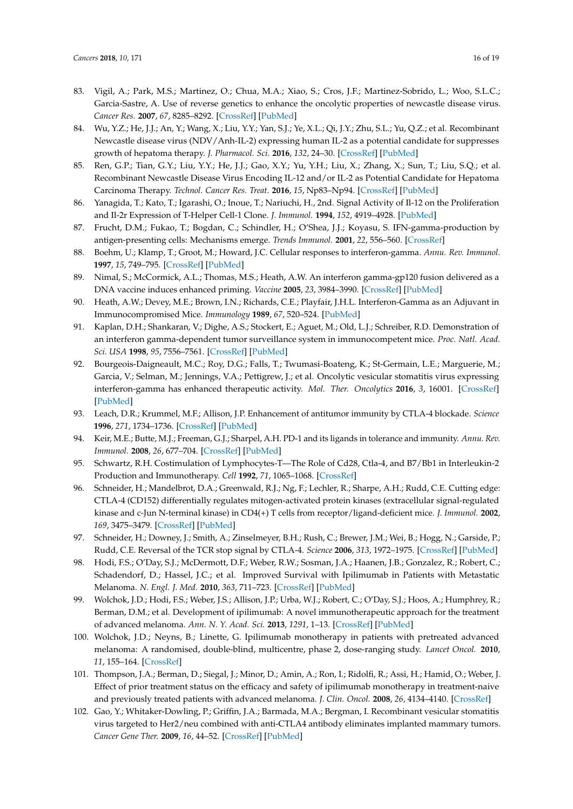- <span id="page-15-0"></span>83. Vigil, A.; Park, M.S.; Martinez, O.; Chua, M.A.; Xiao, S.; Cros, J.F.; Martinez-Sobrido, L.; Woo, S.L.C.; Garcia-Sastre, A. Use of reverse genetics to enhance the oncolytic properties of newcastle disease virus. *Cancer Res.* **2007**, *67*, 8285–8292. [\[CrossRef\]](http://dx.doi.org/10.1158/0008-5472.CAN-07-1025) [\[PubMed\]](http://www.ncbi.nlm.nih.gov/pubmed/17804743)
- <span id="page-15-1"></span>84. Wu, Y.Z.; He, J.J.; An, Y.; Wang, X.; Liu, Y.Y.; Yan, S.J.; Ye, X.L.; Qi, J.Y.; Zhu, S.L.; Yu, Q.Z.; et al. Recombinant Newcastle disease virus (NDV/Anh-IL-2) expressing human IL-2 as a potential candidate for suppresses growth of hepatoma therapy. *J. Pharmacol. Sci.* **2016**, *132*, 24–30. [\[CrossRef\]](http://dx.doi.org/10.1016/j.jphs.2016.03.012) [\[PubMed\]](http://www.ncbi.nlm.nih.gov/pubmed/27174862)
- <span id="page-15-2"></span>85. Ren, G.P.; Tian, G.Y.; Liu, Y.Y.; He, J.J.; Gao, X.Y.; Yu, Y.H.; Liu, X.; Zhang, X.; Sun, T.; Liu, S.Q.; et al. Recombinant Newcastle Disease Virus Encoding IL-12 and/or IL-2 as Potential Candidate for Hepatoma Carcinoma Therapy. *Technol. Cancer Res. Treat.* **2016**, *15*, Np83–Np94. [\[CrossRef\]](http://dx.doi.org/10.1177/1533034615601521) [\[PubMed\]](http://www.ncbi.nlm.nih.gov/pubmed/26303327)
- <span id="page-15-3"></span>86. Yanagida, T.; Kato, T.; Igarashi, O.; Inoue, T.; Nariuchi, H., 2nd. Signal Activity of Il-12 on the Proliferation and Il-2r Expression of T-Helper Cell-1 Clone. *J. Immunol.* **1994**, *152*, 4919–4928. [\[PubMed\]](http://www.ncbi.nlm.nih.gov/pubmed/7909827)
- <span id="page-15-4"></span>87. Frucht, D.M.; Fukao, T.; Bogdan, C.; Schindler, H.; O'Shea, J.J.; Koyasu, S. IFN-gamma-production by antigen-presenting cells: Mechanisms emerge. *Trends Immunol.* **2001**, *22*, 556–560. [\[CrossRef\]](http://dx.doi.org/10.1016/S1471-4906(01)02005-1)
- <span id="page-15-5"></span>88. Boehm, U.; Klamp, T.; Groot, M.; Howard, J.C. Cellular responses to interferon-gamma. *Annu. Rev. Immunol.* **1997**, *15*, 749–795. [\[CrossRef\]](http://dx.doi.org/10.1146/annurev.immunol.15.1.749) [\[PubMed\]](http://www.ncbi.nlm.nih.gov/pubmed/9143706)
- <span id="page-15-6"></span>89. Nimal, S.; McCormick, A.L.; Thomas, M.S.; Heath, A.W. An interferon gamma-gp120 fusion delivered as a DNA vaccine induces enhanced priming. *Vaccine* **2005**, *23*, 3984–3990. [\[CrossRef\]](http://dx.doi.org/10.1016/j.vaccine.2005.01.160) [\[PubMed\]](http://www.ncbi.nlm.nih.gov/pubmed/15917120)
- 90. Heath, A.W.; Devey, M.E.; Brown, I.N.; Richards, C.E.; Playfair, J.H.L. Interferon-Gamma as an Adjuvant in Immunocompromised Mice. *Immunology* **1989**, *67*, 520–524. [\[PubMed\]](http://www.ncbi.nlm.nih.gov/pubmed/2504662)
- <span id="page-15-7"></span>91. Kaplan, D.H.; Shankaran, V.; Dighe, A.S.; Stockert, E.; Aguet, M.; Old, L.J.; Schreiber, R.D. Demonstration of an interferon gamma-dependent tumor surveillance system in immunocompetent mice. *Proc. Natl. Acad. Sci. USA* **1998**, *95*, 7556–7561. [\[CrossRef\]](http://dx.doi.org/10.1073/pnas.95.13.7556) [\[PubMed\]](http://www.ncbi.nlm.nih.gov/pubmed/9636188)
- <span id="page-15-8"></span>92. Bourgeois-Daigneault, M.C.; Roy, D.G.; Falls, T.; Twumasi-Boateng, K.; St-Germain, L.E.; Marguerie, M.; Garcia, V.; Selman, M.; Jennings, V.A.; Pettigrew, J.; et al. Oncolytic vesicular stomatitis virus expressing interferon-gamma has enhanced therapeutic activity. *Mol. Ther. Oncolytics* **2016**, *3*, 16001. [\[CrossRef\]](http://dx.doi.org/10.1038/mto.2016.1) [\[PubMed\]](http://www.ncbi.nlm.nih.gov/pubmed/27119116)
- <span id="page-15-9"></span>93. Leach, D.R.; Krummel, M.F.; Allison, J.P. Enhancement of antitumor immunity by CTLA-4 blockade. *Science* **1996**, *271*, 1734–1736. [\[CrossRef\]](http://dx.doi.org/10.1126/science.271.5256.1734) [\[PubMed\]](http://www.ncbi.nlm.nih.gov/pubmed/8596936)
- <span id="page-15-10"></span>94. Keir, M.E.; Butte, M.J.; Freeman, G.J.; Sharpel, A.H. PD-1 and its ligands in tolerance and immunity. *Annu. Rev. Immunol.* **2008**, *26*, 677–704. [\[CrossRef\]](http://dx.doi.org/10.1146/annurev.immunol.26.021607.090331) [\[PubMed\]](http://www.ncbi.nlm.nih.gov/pubmed/18173375)
- <span id="page-15-11"></span>95. Schwartz, R.H. Costimulation of Lymphocytes-T—The Role of Cd28, Ctla-4, and B7/Bb1 in Interleukin-2 Production and Immunotherapy. *Cell* **1992**, *71*, 1065–1068. [\[CrossRef\]](http://dx.doi.org/10.1016/S0092-8674(05)80055-8)
- 96. Schneider, H.; Mandelbrot, D.A.; Greenwald, R.J.; Ng, F.; Lechler, R.; Sharpe, A.H.; Rudd, C.E. Cutting edge: CTLA-4 (CD152) differentially regulates mitogen-activated protein kinases (extracellular signal-regulated kinase and c-Jun N-terminal kinase) in CD4(+) T cells from receptor/ligand-deficient mice. *J. Immunol.* **2002**, *169*, 3475–3479. [\[CrossRef\]](http://dx.doi.org/10.4049/jimmunol.169.7.3475) [\[PubMed\]](http://www.ncbi.nlm.nih.gov/pubmed/12244135)
- <span id="page-15-12"></span>97. Schneider, H.; Downey, J.; Smith, A.; Zinselmeyer, B.H.; Rush, C.; Brewer, J.M.; Wei, B.; Hogg, N.; Garside, P.; Rudd, C.E. Reversal of the TCR stop signal by CTLA-4. *Science* **2006**, *313*, 1972–1975. [\[CrossRef\]](http://dx.doi.org/10.1126/science.1131078) [\[PubMed\]](http://www.ncbi.nlm.nih.gov/pubmed/16931720)
- <span id="page-15-13"></span>98. Hodi, F.S.; O'Day, S.J.; McDermott, D.F.; Weber, R.W.; Sosman, J.A.; Haanen, J.B.; Gonzalez, R.; Robert, C.; Schadendorf, D.; Hassel, J.C.; et al. Improved Survival with Ipilimumab in Patients with Metastatic Melanoma. *N. Engl. J. Med.* **2010**, *363*, 711–723. [\[CrossRef\]](http://dx.doi.org/10.1056/NEJMoa1003466) [\[PubMed\]](http://www.ncbi.nlm.nih.gov/pubmed/20525992)
- <span id="page-15-14"></span>99. Wolchok, J.D.; Hodi, F.S.; Weber, J.S.; Allison, J.P.; Urba, W.J.; Robert, C.; O'Day, S.J.; Hoos, A.; Humphrey, R.; Berman, D.M.; et al. Development of ipilimumab: A novel immunotherapeutic approach for the treatment of advanced melanoma. *Ann. N. Y. Acad. Sci.* **2013**, *1291*, 1–13. [\[CrossRef\]](http://dx.doi.org/10.1111/nyas.12180) [\[PubMed\]](http://www.ncbi.nlm.nih.gov/pubmed/23772560)
- <span id="page-15-15"></span>100. Wolchok, J.D.; Neyns, B.; Linette, G. Ipilimumab monotherapy in patients with pretreated advanced melanoma: A randomised, double-blind, multicentre, phase 2, dose-ranging study. *Lancet Oncol.* **2010**, *11*, 155–164. [\[CrossRef\]](http://dx.doi.org/10.1016/S1470-2045(09)70334-1)
- <span id="page-15-16"></span>101. Thompson, J.A.; Berman, D.; Siegal, J.; Minor, D.; Amin, A.; Ron, I.; Ridolfi, R.; Assi, H.; Hamid, O.; Weber, J. Effect of prior treatment status on the efficacy and safety of ipilimumab monotherapy in treatment-naive and previously treated patients with advanced melanoma. *J. Clin. Oncol.* **2008**, *26*, 4134–4140. [\[CrossRef\]](http://dx.doi.org/10.1200/jco.2008.26.15_suppl.9055)
- <span id="page-15-17"></span>102. Gao, Y.; Whitaker-Dowling, P.; Griffin, J.A.; Barmada, M.A.; Bergman, I. Recombinant vesicular stomatitis virus targeted to Her2/neu combined with anti-CTLA4 antibody eliminates implanted mammary tumors. *Cancer Gene Ther.* **2009**, *16*, 44–52. [\[CrossRef\]](http://dx.doi.org/10.1038/cgt.2008.55) [\[PubMed\]](http://www.ncbi.nlm.nih.gov/pubmed/18654610)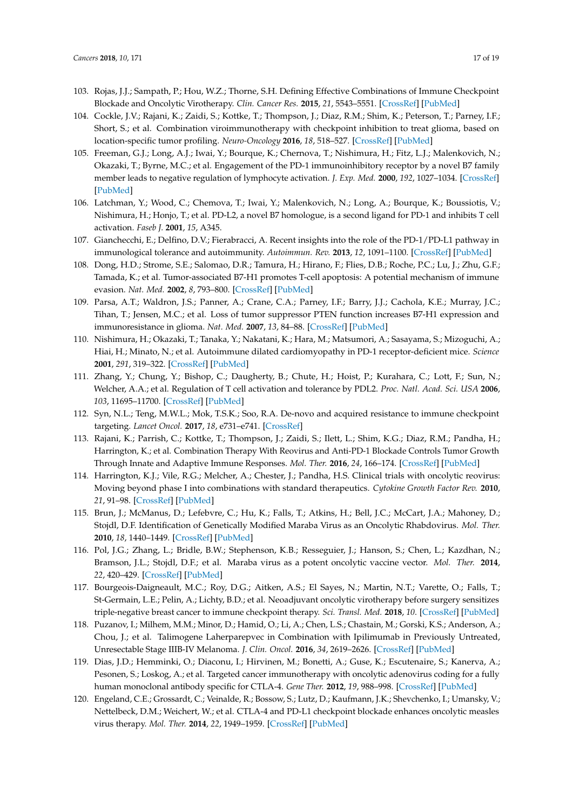- <span id="page-16-0"></span>103. Rojas, J.J.; Sampath, P.; Hou, W.Z.; Thorne, S.H. Defining Effective Combinations of Immune Checkpoint Blockade and Oncolytic Virotherapy. *Clin. Cancer Res.* **2015**, *21*, 5543–5551. [\[CrossRef\]](http://dx.doi.org/10.1158/1078-0432.CCR-14-2009) [\[PubMed\]](http://www.ncbi.nlm.nih.gov/pubmed/26187615)
- <span id="page-16-1"></span>104. Cockle, J.V.; Rajani, K.; Zaidi, S.; Kottke, T.; Thompson, J.; Diaz, R.M.; Shim, K.; Peterson, T.; Parney, I.F.; Short, S.; et al. Combination viroimmunotherapy with checkpoint inhibition to treat glioma, based on location-specific tumor profiling. *Neuro-Oncology* **2016**, *18*, 518–527. [\[CrossRef\]](http://dx.doi.org/10.1093/neuonc/nov173) [\[PubMed\]](http://www.ncbi.nlm.nih.gov/pubmed/26409567)
- <span id="page-16-2"></span>105. Freeman, G.J.; Long, A.J.; Iwai, Y.; Bourque, K.; Chernova, T.; Nishimura, H.; Fitz, L.J.; Malenkovich, N.; Okazaki, T.; Byrne, M.C.; et al. Engagement of the PD-1 immunoinhibitory receptor by a novel B7 family member leads to negative regulation of lymphocyte activation. *J. Exp. Med.* **2000**, *192*, 1027–1034. [\[CrossRef\]](http://dx.doi.org/10.1084/jem.192.7.1027) [\[PubMed\]](http://www.ncbi.nlm.nih.gov/pubmed/11015443)
- <span id="page-16-3"></span>106. Latchman, Y.; Wood, C.; Chemova, T.; Iwai, Y.; Malenkovich, N.; Long, A.; Bourque, K.; Boussiotis, V.; Nishimura, H.; Honjo, T.; et al. PD-L2, a novel B7 homologue, is a second ligand for PD-1 and inhibits T cell activation. *Faseb J.* **2001**, *15*, A345.
- <span id="page-16-4"></span>107. Gianchecchi, E.; Delfino, D.V.; Fierabracci, A. Recent insights into the role of the PD-1/PD-L1 pathway in immunological tolerance and autoimmunity. *Autoimmun. Rev.* **2013**, *12*, 1091–1100. [\[CrossRef\]](http://dx.doi.org/10.1016/j.autrev.2013.05.003) [\[PubMed\]](http://www.ncbi.nlm.nih.gov/pubmed/23792703)
- <span id="page-16-5"></span>108. Dong, H.D.; Strome, S.E.; Salomao, D.R.; Tamura, H.; Hirano, F.; Flies, D.B.; Roche, P.C.; Lu, J.; Zhu, G.F.; Tamada, K.; et al. Tumor-associated B7-H1 promotes T-cell apoptosis: A potential mechanism of immune evasion. *Nat. Med.* **2002**, *8*, 793–800. [\[CrossRef\]](http://dx.doi.org/10.1038/nm730) [\[PubMed\]](http://www.ncbi.nlm.nih.gov/pubmed/12091876)
- <span id="page-16-6"></span>109. Parsa, A.T.; Waldron, J.S.; Panner, A.; Crane, C.A.; Parney, I.F.; Barry, J.J.; Cachola, K.E.; Murray, J.C.; Tihan, T.; Jensen, M.C.; et al. Loss of tumor suppressor PTEN function increases B7-H1 expression and immunoresistance in glioma. *Nat. Med.* **2007**, *13*, 84–88. [\[CrossRef\]](http://dx.doi.org/10.1038/nm1517) [\[PubMed\]](http://www.ncbi.nlm.nih.gov/pubmed/17159987)
- <span id="page-16-7"></span>110. Nishimura, H.; Okazaki, T.; Tanaka, Y.; Nakatani, K.; Hara, M.; Matsumori, A.; Sasayama, S.; Mizoguchi, A.; Hiai, H.; Minato, N.; et al. Autoimmune dilated cardiomyopathy in PD-1 receptor-deficient mice. *Science* **2001**, *291*, 319–322. [\[CrossRef\]](http://dx.doi.org/10.1126/science.291.5502.319) [\[PubMed\]](http://www.ncbi.nlm.nih.gov/pubmed/11209085)
- <span id="page-16-8"></span>111. Zhang, Y.; Chung, Y.; Bishop, C.; Daugherty, B.; Chute, H.; Hoist, P.; Kurahara, C.; Lott, F.; Sun, N.; Welcher, A.A.; et al. Regulation of T cell activation and tolerance by PDL2. *Proc. Natl. Acad. Sci. USA* **2006**, *103*, 11695–11700. [\[CrossRef\]](http://dx.doi.org/10.1073/pnas.0601347103) [\[PubMed\]](http://www.ncbi.nlm.nih.gov/pubmed/16864790)
- <span id="page-16-9"></span>112. Syn, N.L.; Teng, M.W.L.; Mok, T.S.K.; Soo, R.A. De-novo and acquired resistance to immune checkpoint targeting. *Lancet Oncol.* **2017**, *18*, e731–e741. [\[CrossRef\]](http://dx.doi.org/10.1016/S1470-2045(17)30607-1)
- <span id="page-16-10"></span>113. Rajani, K.; Parrish, C.; Kottke, T.; Thompson, J.; Zaidi, S.; Ilett, L.; Shim, K.G.; Diaz, R.M.; Pandha, H.; Harrington, K.; et al. Combination Therapy With Reovirus and Anti-PD-1 Blockade Controls Tumor Growth Through Innate and Adaptive Immune Responses. *Mol. Ther.* **2016**, *24*, 166–174. [\[CrossRef\]](http://dx.doi.org/10.1038/mt.2015.156) [\[PubMed\]](http://www.ncbi.nlm.nih.gov/pubmed/26310630)
- <span id="page-16-11"></span>114. Harrington, K.J.; Vile, R.G.; Melcher, A.; Chester, J.; Pandha, H.S. Clinical trials with oncolytic reovirus: Moving beyond phase I into combinations with standard therapeutics. *Cytokine Growth Factor Rev.* **2010**, *21*, 91–98. [\[CrossRef\]](http://dx.doi.org/10.1016/j.cytogfr.2010.02.006) [\[PubMed\]](http://www.ncbi.nlm.nih.gov/pubmed/20223697)
- <span id="page-16-12"></span>115. Brun, J.; McManus, D.; Lefebvre, C.; Hu, K.; Falls, T.; Atkins, H.; Bell, J.C.; McCart, J.A.; Mahoney, D.; Stojdl, D.F. Identification of Genetically Modified Maraba Virus as an Oncolytic Rhabdovirus. *Mol. Ther.* **2010**, *18*, 1440–1449. [\[CrossRef\]](http://dx.doi.org/10.1038/mt.2010.103) [\[PubMed\]](http://www.ncbi.nlm.nih.gov/pubmed/20551913)
- <span id="page-16-13"></span>116. Pol, J.G.; Zhang, L.; Bridle, B.W.; Stephenson, K.B.; Resseguier, J.; Hanson, S.; Chen, L.; Kazdhan, N.; Bramson, J.L.; Stojdl, D.F.; et al. Maraba virus as a potent oncolytic vaccine vector. *Mol. Ther.* **2014**, *22*, 420–429. [\[CrossRef\]](http://dx.doi.org/10.1038/mt.2013.249) [\[PubMed\]](http://www.ncbi.nlm.nih.gov/pubmed/24322333)
- <span id="page-16-14"></span>117. Bourgeois-Daigneault, M.C.; Roy, D.G.; Aitken, A.S.; El Sayes, N.; Martin, N.T.; Varette, O.; Falls, T.; St-Germain, L.E.; Pelin, A.; Lichty, B.D.; et al. Neoadjuvant oncolytic virotherapy before surgery sensitizes triple-negative breast cancer to immune checkpoint therapy. *Sci. Transl. Med.* **2018**, *10*. [\[CrossRef\]](http://dx.doi.org/10.1126/scitranslmed.aao1641) [\[PubMed\]](http://www.ncbi.nlm.nih.gov/pubmed/29298865)
- <span id="page-16-15"></span>118. Puzanov, I.; Milhem, M.M.; Minor, D.; Hamid, O.; Li, A.; Chen, L.S.; Chastain, M.; Gorski, K.S.; Anderson, A.; Chou, J.; et al. Talimogene Laherparepvec in Combination with Ipilimumab in Previously Untreated, Unresectable Stage IIIB-IV Melanoma. *J. Clin. Oncol.* **2016**, *34*, 2619–2626. [\[CrossRef\]](http://dx.doi.org/10.1200/JCO.2016.67.1529) [\[PubMed\]](http://www.ncbi.nlm.nih.gov/pubmed/27298410)
- <span id="page-16-16"></span>119. Dias, J.D.; Hemminki, O.; Diaconu, I.; Hirvinen, M.; Bonetti, A.; Guse, K.; Escutenaire, S.; Kanerva, A.; Pesonen, S.; Loskog, A.; et al. Targeted cancer immunotherapy with oncolytic adenovirus coding for a fully human monoclonal antibody specific for CTLA-4. *Gene Ther.* **2012**, *19*, 988–998. [\[CrossRef\]](http://dx.doi.org/10.1038/gt.2011.176) [\[PubMed\]](http://www.ncbi.nlm.nih.gov/pubmed/22071969)
- <span id="page-16-17"></span>120. Engeland, C.E.; Grossardt, C.; Veinalde, R.; Bossow, S.; Lutz, D.; Kaufmann, J.K.; Shevchenko, I.; Umansky, V.; Nettelbeck, D.M.; Weichert, W.; et al. CTLA-4 and PD-L1 checkpoint blockade enhances oncolytic measles virus therapy. *Mol. Ther.* **2014**, *22*, 1949–1959. [\[CrossRef\]](http://dx.doi.org/10.1038/mt.2014.160) [\[PubMed\]](http://www.ncbi.nlm.nih.gov/pubmed/25156126)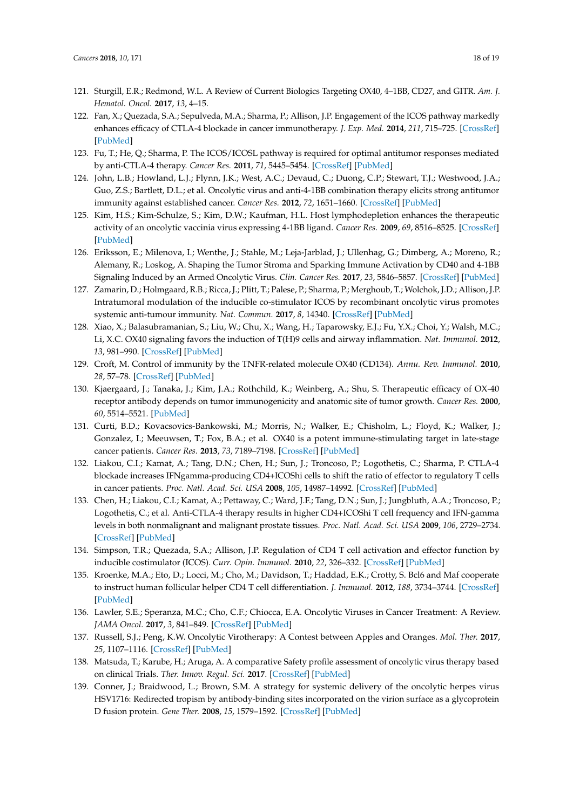- <span id="page-17-0"></span>121. Sturgill, E.R.; Redmond, W.L. A Review of Current Biologics Targeting OX40, 4–1BB, CD27, and GITR. *Am. J. Hematol. Oncol.* **2017**, *13*, 4–15.
- <span id="page-17-12"></span>122. Fan, X.; Quezada, S.A.; Sepulveda, M.A.; Sharma, P.; Allison, J.P. Engagement of the ICOS pathway markedly enhances efficacy of CTLA-4 blockade in cancer immunotherapy. *J. Exp. Med.* **2014**, *211*, 715–725. [\[CrossRef\]](http://dx.doi.org/10.1084/jem.20130590) [\[PubMed\]](http://www.ncbi.nlm.nih.gov/pubmed/24687957)
- <span id="page-17-1"></span>123. Fu, T.; He, Q.; Sharma, P. The ICOS/ICOSL pathway is required for optimal antitumor responses mediated by anti-CTLA-4 therapy. *Cancer Res.* **2011**, *71*, 5445–5454. [\[CrossRef\]](http://dx.doi.org/10.1158/0008-5472.CAN-11-1138) [\[PubMed\]](http://www.ncbi.nlm.nih.gov/pubmed/21708958)
- <span id="page-17-2"></span>124. John, L.B.; Howland, L.J.; Flynn, J.K.; West, A.C.; Devaud, C.; Duong, C.P.; Stewart, T.J.; Westwood, J.A.; Guo, Z.S.; Bartlett, D.L.; et al. Oncolytic virus and anti-4-1BB combination therapy elicits strong antitumor immunity against established cancer. *Cancer Res.* **2012**, *72*, 1651–1660. [\[CrossRef\]](http://dx.doi.org/10.1158/0008-5472.CAN-11-2788) [\[PubMed\]](http://www.ncbi.nlm.nih.gov/pubmed/22315352)
- <span id="page-17-3"></span>125. Kim, H.S.; Kim-Schulze, S.; Kim, D.W.; Kaufman, H.L. Host lymphodepletion enhances the therapeutic activity of an oncolytic vaccinia virus expressing 4-1BB ligand. *Cancer Res.* **2009**, *69*, 8516–8525. [\[CrossRef\]](http://dx.doi.org/10.1158/0008-5472.CAN-09-2522) [\[PubMed\]](http://www.ncbi.nlm.nih.gov/pubmed/19843856)
- <span id="page-17-4"></span>126. Eriksson, E.; Milenova, I.; Wenthe, J.; Stahle, M.; Leja-Jarblad, J.; Ullenhag, G.; Dimberg, A.; Moreno, R.; Alemany, R.; Loskog, A. Shaping the Tumor Stroma and Sparking Immune Activation by CD40 and 4-1BB Signaling Induced by an Armed Oncolytic Virus. *Clin. Cancer Res.* **2017**, *23*, 5846–5857. [\[CrossRef\]](http://dx.doi.org/10.1158/1078-0432.CCR-17-0285) [\[PubMed\]](http://www.ncbi.nlm.nih.gov/pubmed/28536305)
- <span id="page-17-5"></span>127. Zamarin, D.; Holmgaard, R.B.; Ricca, J.; Plitt, T.; Palese, P.; Sharma, P.; Merghoub, T.; Wolchok, J.D.; Allison, J.P. Intratumoral modulation of the inducible co-stimulator ICOS by recombinant oncolytic virus promotes systemic anti-tumour immunity. *Nat. Commun.* **2017**, *8*, 14340. [\[CrossRef\]](http://dx.doi.org/10.1038/ncomms14340) [\[PubMed\]](http://www.ncbi.nlm.nih.gov/pubmed/28194010)
- <span id="page-17-6"></span>128. Xiao, X.; Balasubramanian, S.; Liu, W.; Chu, X.; Wang, H.; Taparowsky, E.J.; Fu, Y.X.; Choi, Y.; Walsh, M.C.; Li, X.C. OX40 signaling favors the induction of T(H)9 cells and airway inflammation. *Nat. Immunol.* **2012**, *13*, 981–990. [\[CrossRef\]](http://dx.doi.org/10.1038/ni.2390) [\[PubMed\]](http://www.ncbi.nlm.nih.gov/pubmed/22842344)
- <span id="page-17-7"></span>129. Croft, M. Control of immunity by the TNFR-related molecule OX40 (CD134). *Annu. Rev. Immunol.* **2010**, *28*, 57–78. [\[CrossRef\]](http://dx.doi.org/10.1146/annurev-immunol-030409-101243) [\[PubMed\]](http://www.ncbi.nlm.nih.gov/pubmed/20307208)
- <span id="page-17-8"></span>130. Kjaergaard, J.; Tanaka, J.; Kim, J.A.; Rothchild, K.; Weinberg, A.; Shu, S. Therapeutic efficacy of OX-40 receptor antibody depends on tumor immunogenicity and anatomic site of tumor growth. *Cancer Res.* **2000**, *60*, 5514–5521. [\[PubMed\]](http://www.ncbi.nlm.nih.gov/pubmed/11034096)
- <span id="page-17-9"></span>131. Curti, B.D.; Kovacsovics-Bankowski, M.; Morris, N.; Walker, E.; Chisholm, L.; Floyd, K.; Walker, J.; Gonzalez, I.; Meeuwsen, T.; Fox, B.A.; et al. OX40 is a potent immune-stimulating target in late-stage cancer patients. *Cancer Res.* **2013**, *73*, 7189–7198. [\[CrossRef\]](http://dx.doi.org/10.1158/0008-5472.CAN-12-4174) [\[PubMed\]](http://www.ncbi.nlm.nih.gov/pubmed/24177180)
- <span id="page-17-10"></span>132. Liakou, C.I.; Kamat, A.; Tang, D.N.; Chen, H.; Sun, J.; Troncoso, P.; Logothetis, C.; Sharma, P. CTLA-4 blockade increases IFNgamma-producing CD4+ICOShi cells to shift the ratio of effector to regulatory T cells in cancer patients. *Proc. Natl. Acad. Sci. USA* **2008**, *105*, 14987–14992. [\[CrossRef\]](http://dx.doi.org/10.1073/pnas.0806075105) [\[PubMed\]](http://www.ncbi.nlm.nih.gov/pubmed/18818309)
- <span id="page-17-11"></span>133. Chen, H.; Liakou, C.I.; Kamat, A.; Pettaway, C.; Ward, J.F.; Tang, D.N.; Sun, J.; Jungbluth, A.A.; Troncoso, P.; Logothetis, C.; et al. Anti-CTLA-4 therapy results in higher CD4+ICOShi T cell frequency and IFN-gamma levels in both nonmalignant and malignant prostate tissues. *Proc. Natl. Acad. Sci. USA* **2009**, *106*, 2729–2734. [\[CrossRef\]](http://dx.doi.org/10.1073/pnas.0813175106) [\[PubMed\]](http://www.ncbi.nlm.nih.gov/pubmed/19202079)
- <span id="page-17-13"></span>134. Simpson, T.R.; Quezada, S.A.; Allison, J.P. Regulation of CD4 T cell activation and effector function by inducible costimulator (ICOS). *Curr. Opin. Immunol.* **2010**, *22*, 326–332. [\[CrossRef\]](http://dx.doi.org/10.1016/j.coi.2010.01.001) [\[PubMed\]](http://www.ncbi.nlm.nih.gov/pubmed/20116985)
- <span id="page-17-14"></span>135. Kroenke, M.A.; Eto, D.; Locci, M.; Cho, M.; Davidson, T.; Haddad, E.K.; Crotty, S. Bcl6 and Maf cooperate to instruct human follicular helper CD4 T cell differentiation. *J. Immunol.* **2012**, *188*, 3734–3744. [\[CrossRef\]](http://dx.doi.org/10.4049/jimmunol.1103246) [\[PubMed\]](http://www.ncbi.nlm.nih.gov/pubmed/22427637)
- <span id="page-17-15"></span>136. Lawler, S.E.; Speranza, M.C.; Cho, C.F.; Chiocca, E.A. Oncolytic Viruses in Cancer Treatment: A Review. *JAMA Oncol.* **2017**, *3*, 841–849. [\[CrossRef\]](http://dx.doi.org/10.1001/jamaoncol.2016.2064) [\[PubMed\]](http://www.ncbi.nlm.nih.gov/pubmed/27441411)
- <span id="page-17-16"></span>137. Russell, S.J.; Peng, K.W. Oncolytic Virotherapy: A Contest between Apples and Oranges. *Mol. Ther.* **2017**, *25*, 1107–1116. [\[CrossRef\]](http://dx.doi.org/10.1016/j.ymthe.2017.03.026) [\[PubMed\]](http://www.ncbi.nlm.nih.gov/pubmed/28392162)
- <span id="page-17-17"></span>138. Matsuda, T.; Karube, H.; Aruga, A. A comparative Safety profile assessment of oncolytic virus therapy based on clinical Trials. *Ther. Innov. Regul. Sci.* **2017**. [\[CrossRef\]](http://dx.doi.org/10.1177/2168479017738979) [\[PubMed\]](http://www.ncbi.nlm.nih.gov/pubmed/29714547)
- <span id="page-17-18"></span>139. Conner, J.; Braidwood, L.; Brown, S.M. A strategy for systemic delivery of the oncolytic herpes virus HSV1716: Redirected tropism by antibody-binding sites incorporated on the virion surface as a glycoprotein D fusion protein. *Gene Ther.* **2008**, *15*, 1579–1592. [\[CrossRef\]](http://dx.doi.org/10.1038/gt.2008.121) [\[PubMed\]](http://www.ncbi.nlm.nih.gov/pubmed/18701918)